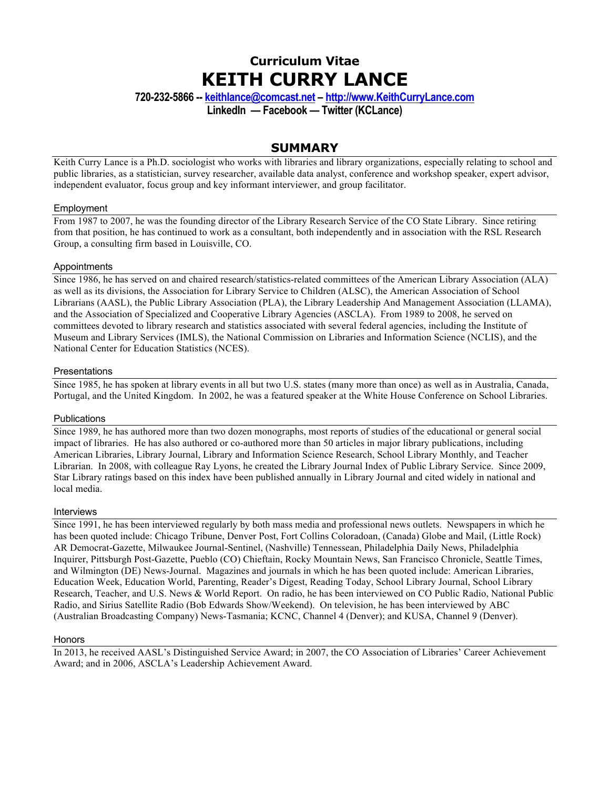# **Curriculum Vitae KEITH CURRY LANCE**

**720-232-5866 -- keithlance@comcast.net – http://www.KeithCurryLance.com**

**LinkedIn — Facebook — Twitter (KCLance)**

## **SUMMARY**

Keith Curry Lance is a Ph.D. sociologist who works with libraries and library organizations, especially relating to school and public libraries, as a statistician, survey researcher, available data analyst, conference and workshop speaker, expert advisor, independent evaluator, focus group and key informant interviewer, and group facilitator.

#### Employment

From 1987 to 2007, he was the founding director of the Library Research Service of the CO State Library. Since retiring from that position, he has continued to work as a consultant, both independently and in association with the RSL Research Group, a consulting firm based in Louisville, CO.

### **Appointments**

Since 1986, he has served on and chaired research/statistics-related committees of the American Library Association (ALA) as well as its divisions, the Association for Library Service to Children (ALSC), the American Association of School Librarians (AASL), the Public Library Association (PLA), the Library Leadership And Management Association (LLAMA), and the Association of Specialized and Cooperative Library Agencies (ASCLA). From 1989 to 2008, he served on committees devoted to library research and statistics associated with several federal agencies, including the Institute of Museum and Library Services (IMLS), the National Commission on Libraries and Information Science (NCLIS), and the National Center for Education Statistics (NCES).

### **Presentations**

Since 1985, he has spoken at library events in all but two U.S. states (many more than once) as well as in Australia, Canada, Portugal, and the United Kingdom. In 2002, he was a featured speaker at the White House Conference on School Libraries.

#### **Publications**

Since 1989, he has authored more than two dozen monographs, most reports of studies of the educational or general social impact of libraries. He has also authored or co-authored more than 50 articles in major library publications, including American Libraries, Library Journal, Library and Information Science Research, School Library Monthly, and Teacher Librarian. In 2008, with colleague Ray Lyons, he created the Library Journal Index of Public Library Service. Since 2009, Star Library ratings based on this index have been published annually in Library Journal and cited widely in national and local media.

#### Interviews

Since 1991, he has been interviewed regularly by both mass media and professional news outlets. Newspapers in which he has been quoted include: Chicago Tribune, Denver Post, Fort Collins Coloradoan, (Canada) Globe and Mail, (Little Rock) AR Democrat-Gazette, Milwaukee Journal-Sentinel, (Nashville) Tennessean, Philadelphia Daily News, Philadelphia Inquirer, Pittsburgh Post-Gazette, Pueblo (CO) Chieftain, Rocky Mountain News, San Francisco Chronicle, Seattle Times, and Wilmington (DE) News-Journal. Magazines and journals in which he has been quoted include: American Libraries, Education Week, Education World, Parenting, Reader's Digest, Reading Today, School Library Journal, School Library Research, Teacher, and U.S. News & World Report. On radio, he has been interviewed on CO Public Radio, National Public Radio, and Sirius Satellite Radio (Bob Edwards Show/Weekend). On television, he has been interviewed by ABC (Australian Broadcasting Company) News-Tasmania; KCNC, Channel 4 (Denver); and KUSA, Channel 9 (Denver).

#### **Honors**

In 2013, he received AASL's Distinguished Service Award; in 2007, the CO Association of Libraries' Career Achievement Award; and in 2006, ASCLA's Leadership Achievement Award.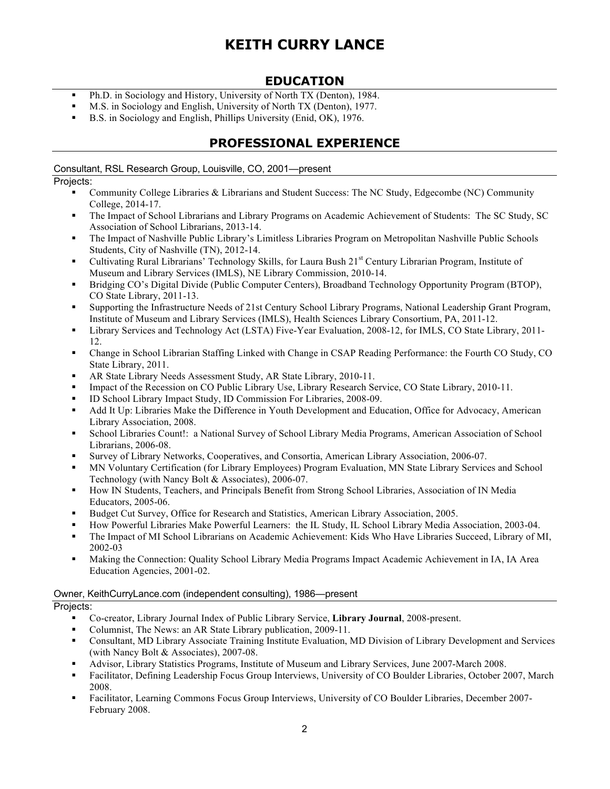## **EDUCATION**

- § Ph.D. in Sociology and History, University of North TX (Denton), 1984.
- M.S. in Sociology and English, University of North TX (Denton), 1977.
- § B.S. in Sociology and English, Phillips University (Enid, OK), 1976.

## **PROFESSIONAL EXPERIENCE**

Consultant, RSL Research Group, Louisville, CO, 2001—present

## Projects:

- Community College Libraries & Librarians and Student Success: The NC Study, Edgecombe (NC) Community College, 2014-17.
- § The Impact of School Librarians and Library Programs on Academic Achievement of Students: The SC Study, SC Association of School Librarians, 2013-14.
- The Impact of Nashville Public Library's Limitless Libraries Program on Metropolitan Nashville Public Schools Students, City of Nashville (TN), 2012-14.
- Cultivating Rural Librarians' Technology Skills, for Laura Bush 21<sup>st</sup> Century Librarian Program, Institute of Museum and Library Services (IMLS), NE Library Commission, 2010-14.
- § Bridging CO's Digital Divide (Public Computer Centers), Broadband Technology Opportunity Program (BTOP), CO State Library, 2011-13.
- § Supporting the Infrastructure Needs of 21st Century School Library Programs, National Leadership Grant Program, Institute of Museum and Library Services (IMLS), Health Sciences Library Consortium, PA, 2011-12.
- § Library Services and Technology Act (LSTA) Five-Year Evaluation, 2008-12, for IMLS, CO State Library, 2011- 12.
- § Change in School Librarian Staffing Linked with Change in CSAP Reading Performance: the Fourth CO Study, CO State Library, 2011.
- § AR State Library Needs Assessment Study, AR State Library, 2010-11.
- Impact of the Recession on CO Public Library Use, Library Research Service, CO State Library, 2010-11.
- § ID School Library Impact Study, ID Commission For Libraries, 2008-09.
- Add It Up: Libraries Make the Difference in Youth Development and Education, Office for Advocacy, American Library Association, 2008.
- § School Libraries Count!: a National Survey of School Library Media Programs, American Association of School Librarians, 2006-08.
- § Survey of Library Networks, Cooperatives, and Consortia, American Library Association, 2006-07.
- § MN Voluntary Certification (for Library Employees) Program Evaluation, MN State Library Services and School Technology (with Nancy Bolt & Associates), 2006-07.
- § How IN Students, Teachers, and Principals Benefit from Strong School Libraries, Association of IN Media Educators, 2005-06.
- § Budget Cut Survey, Office for Research and Statistics, American Library Association, 2005.
- § How Powerful Libraries Make Powerful Learners: the IL Study, IL School Library Media Association, 2003-04.
- § The Impact of MI School Librarians on Academic Achievement: Kids Who Have Libraries Succeed, Library of MI, 2002-03
- § Making the Connection: Quality School Library Media Programs Impact Academic Achievement in IA, IA Area Education Agencies, 2001-02.

## Owner, KeithCurryLance.com (independent consulting), 1986—present

## Projects:

- § Co-creator, Library Journal Index of Public Library Service, **Library Journal**, 2008-present.
- § Columnist, The News: an AR State Library publication, 2009-11.
- § Consultant, MD Library Associate Training Institute Evaluation, MD Division of Library Development and Services (with Nancy Bolt & Associates), 2007-08.
- § Advisor, Library Statistics Programs, Institute of Museum and Library Services, June 2007-March 2008.
- Facilitator, Defining Leadership Focus Group Interviews, University of CO Boulder Libraries, October 2007, March 2008.
- § Facilitator, Learning Commons Focus Group Interviews, University of CO Boulder Libraries, December 2007- February 2008.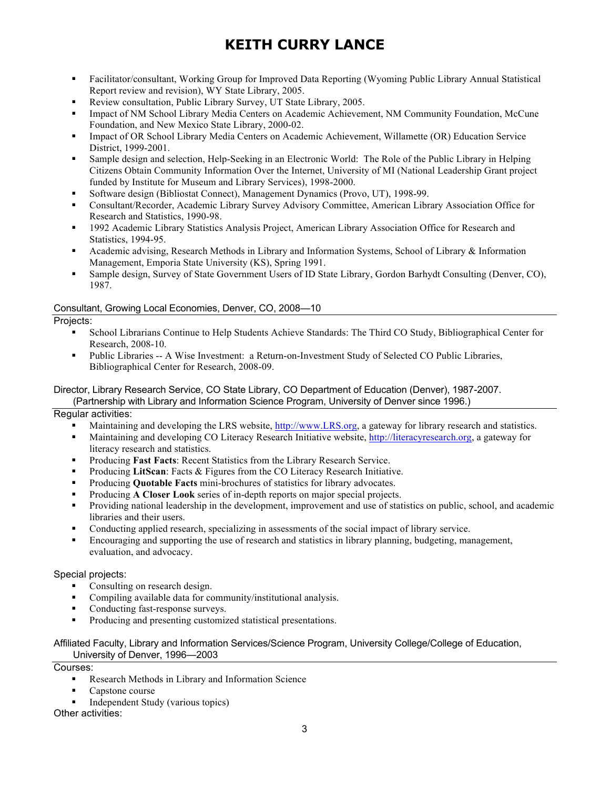- § Facilitator/consultant, Working Group for Improved Data Reporting (Wyoming Public Library Annual Statistical Report review and revision), WY State Library, 2005.
- § Review consultation, Public Library Survey, UT State Library, 2005.
- § Impact of NM School Library Media Centers on Academic Achievement, NM Community Foundation, McCune Foundation, and New Mexico State Library, 2000-02.
- Impact of OR School Library Media Centers on Academic Achievement, Willamette (OR) Education Service District, 1999-2001.
- § Sample design and selection, Help-Seeking in an Electronic World: The Role of the Public Library in Helping Citizens Obtain Community Information Over the Internet, University of MI (National Leadership Grant project funded by Institute for Museum and Library Services), 1998-2000.
- § Software design (Bibliostat Connect), Management Dynamics (Provo, UT), 1998-99.
- § Consultant/Recorder, Academic Library Survey Advisory Committee, American Library Association Office for Research and Statistics, 1990-98.
- § 1992 Academic Library Statistics Analysis Project, American Library Association Office for Research and Statistics, 1994-95.
- § Academic advising, Research Methods in Library and Information Systems, School of Library & Information Management, Emporia State University (KS), Spring 1991.
- § Sample design, Survey of State Government Users of ID State Library, Gordon Barhydt Consulting (Denver, CO), 1987.

### Consultant, Growing Local Economies, Denver, CO, 2008—10

Projects:

- § School Librarians Continue to Help Students Achieve Standards: The Third CO Study, Bibliographical Center for Research, 2008-10.
- Public Libraries -- A Wise Investment: a Return-on-Investment Study of Selected CO Public Libraries, Bibliographical Center for Research, 2008-09.

#### Director, Library Research Service, CO State Library, CO Department of Education (Denver), 1987-2007. (Partnership with Library and Information Science Program, University of Denver since 1996.)

Regular activities:

- Maintaining and developing the LRS website, http://www.LRS.org, a gateway for library research and statistics.
- § Maintaining and developing CO Literacy Research Initiative website, http://literacyresearch.org, a gateway for literacy research and statistics.
- Producing **Fast Facts**: Recent Statistics from the Library Research Service.
- § Producing **LitScan**: Facts & Figures from the CO Literacy Research Initiative.
- § Producing **Quotable Facts** mini-brochures of statistics for library advocates.
- § Producing **A Closer Look** series of in-depth reports on major special projects.
- § Providing national leadership in the development, improvement and use of statistics on public, school, and academic libraries and their users.
- Conducting applied research, specializing in assessments of the social impact of library service.
- Encouraging and supporting the use of research and statistics in library planning, budgeting, management, evaluation, and advocacy.

Special projects:

- Consulting on research design.
- § Compiling available data for community/institutional analysis.
- Conducting fast-response surveys.
- § Producing and presenting customized statistical presentations.

#### Affiliated Faculty, Library and Information Services/Science Program, University College/College of Education, University of Denver, 1996—2003

Courses:

- § Research Methods in Library and Information Science
- § Capstone course
- § Independent Study (various topics)

Other activities: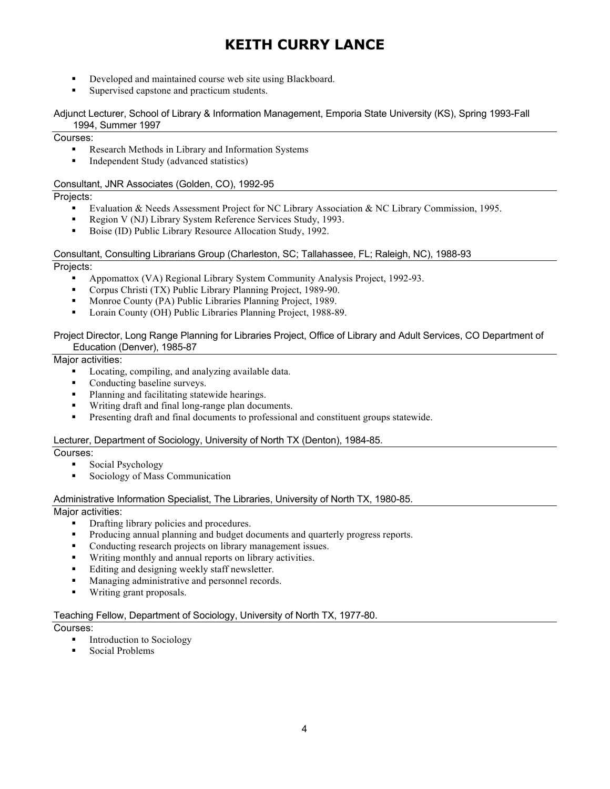- Developed and maintained course web site using Blackboard.
- § Supervised capstone and practicum students.

#### Adjunct Lecturer, School of Library & Information Management, Emporia State University (KS), Spring 1993-Fall 1994, Summer 1997

#### Courses:

- Research Methods in Library and Information Systems
- § Independent Study (advanced statistics)

#### Consultant, JNR Associates (Golden, CO), 1992-95

### Projects:

- Evaluation & Needs Assessment Project for NC Library Association & NC Library Commission, 1995.
- Region V (NJ) Library System Reference Services Study, 1993.
- § Boise (ID) Public Library Resource Allocation Study, 1992.

## Consultant, Consulting Librarians Group (Charleston, SC; Tallahassee, FL; Raleigh, NC), 1988-93

## Projects:

- § Appomattox (VA) Regional Library System Community Analysis Project, 1992-93.
- § Corpus Christi (TX) Public Library Planning Project, 1989-90.
- Monroe County (PA) Public Libraries Planning Project, 1989.
- § Lorain County (OH) Public Libraries Planning Project, 1988-89.

#### Project Director, Long Range Planning for Libraries Project, Office of Library and Adult Services, CO Department of Education (Denver), 1985-87

### Major activities:

- Locating, compiling, and analyzing available data.
- § Conducting baseline surveys.
- Planning and facilitating statewide hearings.
- § Writing draft and final long-range plan documents.
- § Presenting draft and final documents to professional and constituent groups statewide.

#### Lecturer, Department of Sociology, University of North TX (Denton), 1984-85.

#### Courses:

- Social Psychology
- Sociology of Mass Communication

#### Administrative Information Specialist, The Libraries, University of North TX, 1980-85.

## Major activities:

- Drafting library policies and procedures.
- Producing annual planning and budget documents and quarterly progress reports.
- § Conducting research projects on library management issues.
- Writing monthly and annual reports on library activities.
- Editing and designing weekly staff newsletter.
- Managing administrative and personnel records.
- § Writing grant proposals.

#### Teaching Fellow, Department of Sociology, University of North TX, 1977-80.

Courses:

- § Introduction to Sociology
- § Social Problems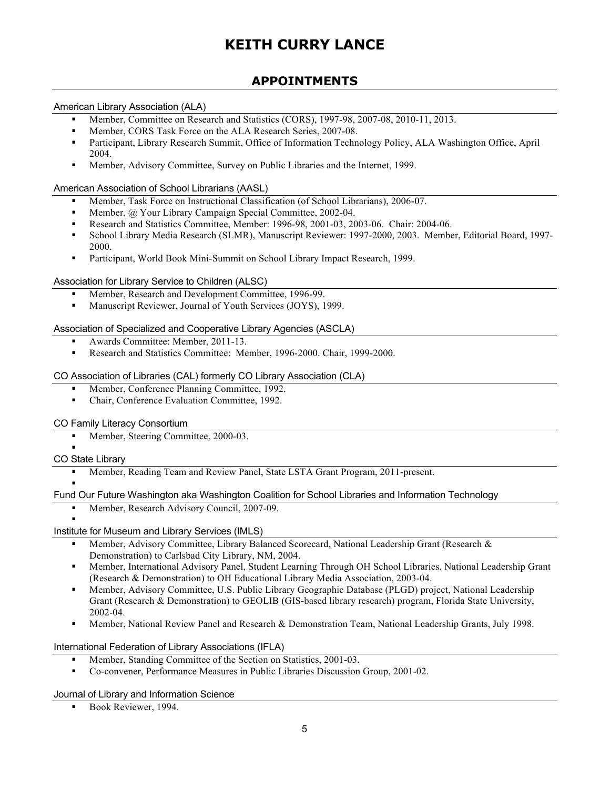## **APPOINTMENTS**

### American Library Association (ALA)

- § Member, Committee on Research and Statistics (CORS), 1997-98, 2007-08, 2010-11, 2013.
- § Member, CORS Task Force on the ALA Research Series, 2007-08.
- Participant, Library Research Summit, Office of Information Technology Policy, ALA Washington Office, April 2004.
- § Member, Advisory Committee, Survey on Public Libraries and the Internet, 1999.

#### American Association of School Librarians (AASL)

- § Member, Task Force on Instructional Classification (of School Librarians), 2006-07.
- Member, @ Your Library Campaign Special Committee, 2002-04.
- § Research and Statistics Committee, Member: 1996-98, 2001-03, 2003-06. Chair: 2004-06.
- § School Library Media Research (SLMR), Manuscript Reviewer: 1997-2000, 2003. Member, Editorial Board, 1997- 2000.
- § Participant, World Book Mini-Summit on School Library Impact Research, 1999.

#### Association for Library Service to Children (ALSC)

- Member, Research and Development Committee, 1996-99.
- Manuscript Reviewer, Journal of Youth Services (JOYS), 1999.

#### Association of Specialized and Cooperative Library Agencies (ASCLA)

- § Awards Committee: Member, 2011-13.
- § Research and Statistics Committee: Member, 1996-2000. Chair, 1999-2000.

#### CO Association of Libraries (CAL) formerly CO Library Association (CLA)

- § Member, Conference Planning Committee, 1992.
- § Chair, Conference Evaluation Committee, 1992.

#### CO Family Literacy Consortium

■ Member, Steering Committee, 2000-03.

#### § CO State Library

§ Member, Reading Team and Review Panel, State LSTA Grant Program, 2011-present.

#### § Fund Our Future Washington aka Washington Coalition for School Libraries and Information Technology

■ Member, Research Advisory Council, 2007-09.

§

- Institute for Museum and Library Services (IMLS)
	- Member, Advisory Committee, Library Balanced Scorecard, National Leadership Grant (Research & Demonstration) to Carlsbad City Library, NM, 2004.
	- § Member, International Advisory Panel, Student Learning Through OH School Libraries, National Leadership Grant (Research & Demonstration) to OH Educational Library Media Association, 2003-04.
	- § Member, Advisory Committee, U.S. Public Library Geographic Database (PLGD) project, National Leadership Grant (Research & Demonstration) to GEOLIB (GIS-based library research) program, Florida State University, 2002-04.
	- § Member, National Review Panel and Research & Demonstration Team, National Leadership Grants, July 1998.

International Federation of Library Associations (IFLA)

- Member, Standing Committee of the Section on Statistics, 2001-03.
- § Co-convener, Performance Measures in Public Libraries Discussion Group, 2001-02.

Journal of Library and Information Science

■ Book Reviewer, 1994.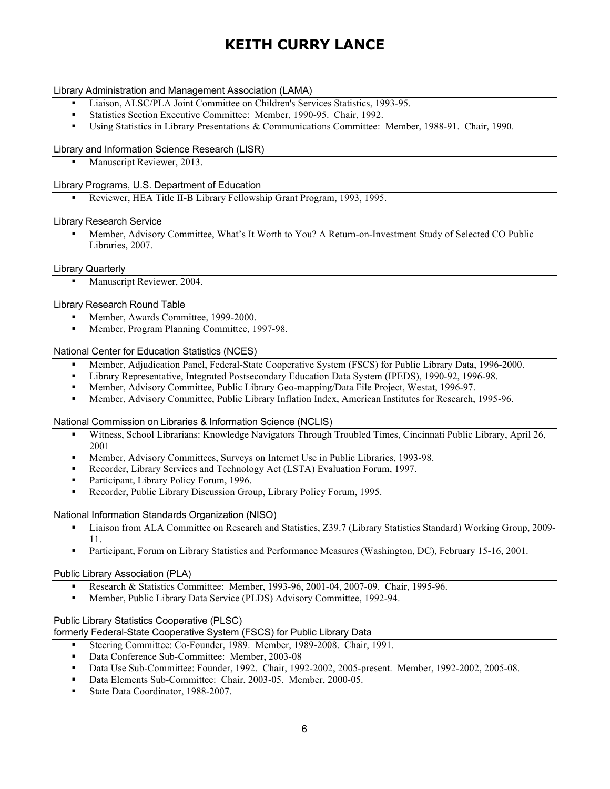#### Library Administration and Management Association (LAMA)

- § Liaison, ALSC/PLA Joint Committee on Children's Services Statistics, 1993-95.
- § Statistics Section Executive Committee: Member, 1990-95. Chair, 1992.
- § Using Statistics in Library Presentations & Communications Committee: Member, 1988-91. Chair, 1990.

#### Library and Information Science Research (LISR)

■ Manuscript Reviewer, 2013.

#### Library Programs, U.S. Department of Education

§ Reviewer, HEA Title II-B Library Fellowship Grant Program, 1993, 1995.

#### Library Research Service

■ Member, Advisory Committee, What's It Worth to You? A Return-on-Investment Study of Selected CO Public Libraries, 2007.

#### Library Quarterly

§ Manuscript Reviewer, 2004.

#### Library Research Round Table

- Member, Awards Committee, 1999-2000.
- Member, Program Planning Committee, 1997-98.

#### National Center for Education Statistics (NCES)

- § Member, Adjudication Panel, Federal-State Cooperative System (FSCS) for Public Library Data, 1996-2000.
- § Library Representative, Integrated Postsecondary Education Data System (IPEDS), 1990-92, 1996-98.
- Member, Advisory Committee, Public Library Geo-mapping/Data File Project, Westat, 1996-97.
- § Member, Advisory Committee, Public Library Inflation Index, American Institutes for Research, 1995-96.

#### National Commission on Libraries & Information Science (NCLIS)

- § Witness, School Librarians: Knowledge Navigators Through Troubled Times, Cincinnati Public Library, April 26, 2001
- § Member, Advisory Committees, Surveys on Internet Use in Public Libraries, 1993-98.
- § Recorder, Library Services and Technology Act (LSTA) Evaluation Forum, 1997.
- Participant, Library Policy Forum, 1996.
- Recorder, Public Library Discussion Group, Library Policy Forum, 1995.

#### National Information Standards Organization (NISO)

- § Liaison from ALA Committee on Research and Statistics, Z39.7 (Library Statistics Standard) Working Group, 2009- 11.
- Participant, Forum on Library Statistics and Performance Measures (Washington, DC), February 15-16, 2001.

#### Public Library Association (PLA)

- § Research & Statistics Committee: Member, 1993-96, 2001-04, 2007-09. Chair, 1995-96.
- § Member, Public Library Data Service (PLDS) Advisory Committee, 1992-94.

#### Public Library Statistics Cooperative (PLSC)

formerly Federal-State Cooperative System (FSCS) for Public Library Data

- § Steering Committee: Co-Founder, 1989. Member, 1989-2008. Chair, 1991.
- Data Conference Sub-Committee: Member, 2003-08
- § Data Use Sub-Committee: Founder, 1992. Chair, 1992-2002, 2005-present. Member, 1992-2002, 2005-08.
- § Data Elements Sub-Committee: Chair, 2003-05. Member, 2000-05.
- § State Data Coordinator, 1988-2007.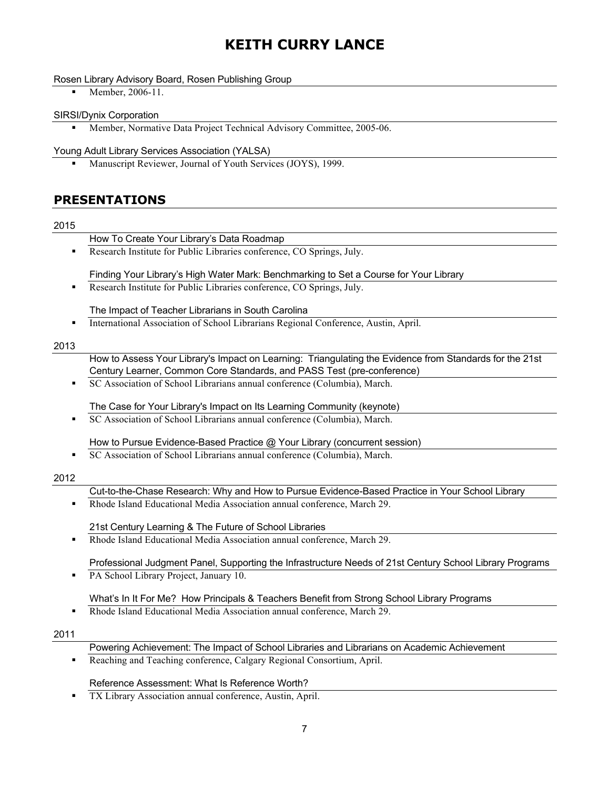### Rosen Library Advisory Board, Rosen Publishing Group

• Member, 2006-11.

#### SIRSI/Dynix Corporation

§ Member, Normative Data Project Technical Advisory Committee, 2005-06.

#### Young Adult Library Services Association (YALSA)

§ Manuscript Reviewer, Journal of Youth Services (JOYS), 1999.

## **PRESENTATIONS**

### 2015

- How To Create Your Library's Data Roadmap
- § Research Institute for Public Libraries conference, CO Springs, July.

Finding Your Library's High Water Mark: Benchmarking to Set a Course for Your Library

■ Research Institute for Public Libraries conference, CO Springs, July.

The Impact of Teacher Librarians in South Carolina

§ International Association of School Librarians Regional Conference, Austin, April.

## 2013

- How to Assess Your Library's Impact on Learning: Triangulating the Evidence from Standards for the 21st Century Learner, Common Core Standards, and PASS Test (pre-conference)
- SC Association of School Librarians annual conference (Columbia), March.

The Case for Your Library's Impact on Its Learning Community (keynote)

■ SC Association of School Librarians annual conference (Columbia), March.

How to Pursue Evidence-Based Practice @ Your Library (concurrent session)

§ SC Association of School Librarians annual conference (Columbia), March.

## 2012

Cut-to-the-Chase Research: Why and How to Pursue Evidence-Based Practice in Your School Library

§ Rhode Island Educational Media Association annual conference, March 29.

21st Century Learning & The Future of School Libraries

§ Rhode Island Educational Media Association annual conference, March 29.

Professional Judgment Panel, Supporting the Infrastructure Needs of 21st Century School Library Programs

**• PA School Library Project, January 10.** 

## What's In It For Me? How Principals & Teachers Benefit from Strong School Library Programs

■ Rhode Island Educational Media Association annual conference, March 29.

#### 2011

## Powering Achievement: The Impact of School Libraries and Librarians on Academic Achievement

Reaching and Teaching conference, Calgary Regional Consortium, April.

## Reference Assessment: What Is Reference Worth?

TX Library Association annual conference, Austin, April.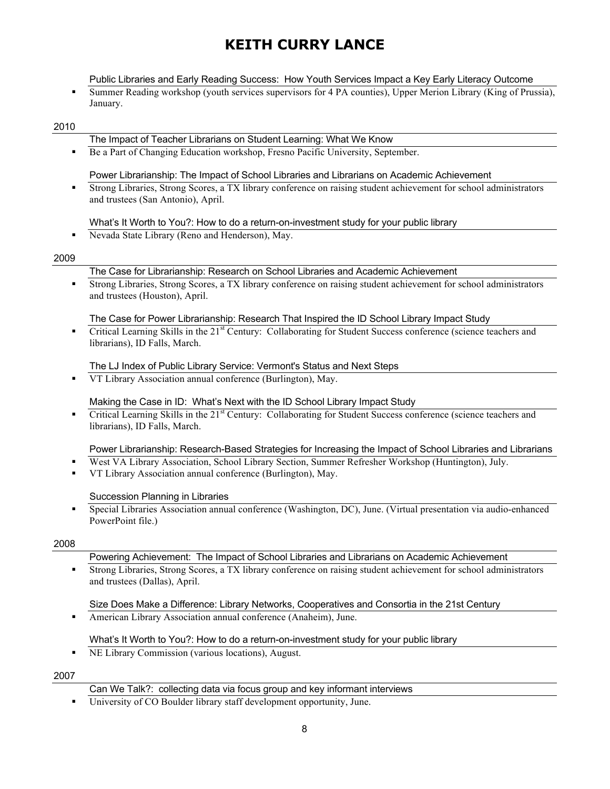Public Libraries and Early Reading Success: How Youth Services Impact a Key Early Literacy Outcome

§ Summer Reading workshop (youth services supervisors for 4 PA counties), Upper Merion Library (King of Prussia), January.

#### 2010

#### The Impact of Teacher Librarians on Student Learning: What We Know

■ Be a Part of Changing Education workshop, Fresno Pacific University, September.

#### Power Librarianship: The Impact of School Libraries and Librarians on Academic Achievement

§ Strong Libraries, Strong Scores, a TX library conference on raising student achievement for school administrators and trustees (San Antonio), April.

#### What's It Worth to You?: How to do a return-on-investment study for your public library

§ Nevada State Library (Reno and Henderson), May.

#### 2009

#### The Case for Librarianship: Research on School Libraries and Academic Achievement

§ Strong Libraries, Strong Scores, a TX library conference on raising student achievement for school administrators and trustees (Houston), April.

#### The Case for Power Librarianship: Research That Inspired the ID School Library Impact Study

Critical Learning Skills in the 21<sup>st</sup> Century: Collaborating for Student Success conference (science teachers and librarians), ID Falls, March.

#### The LJ Index of Public Library Service: Vermont's Status and Next Steps

§ VT Library Association annual conference (Burlington), May.

#### Making the Case in ID: What's Next with the ID School Library Impact Study

• Critical Learning Skills in the 21<sup>st</sup> Century: Collaborating for Student Success conference (science teachers and librarians), ID Falls, March.

#### Power Librarianship: Research-Based Strategies for Increasing the Impact of School Libraries and Librarians

- West VA Library Association, School Library Section, Summer Refresher Workshop (Huntington), July.
- § VT Library Association annual conference (Burlington), May.

#### Succession Planning in Libraries

§ Special Libraries Association annual conference (Washington, DC), June. (Virtual presentation via audio-enhanced PowerPoint file.)

#### 2008

- Powering Achievement: The Impact of School Libraries and Librarians on Academic Achievement
- § Strong Libraries, Strong Scores, a TX library conference on raising student achievement for school administrators and trustees (Dallas), April.

#### Size Does Make a Difference: Library Networks, Cooperatives and Consortia in the 21st Century

■ American Library Association annual conference (Anaheim), June.

#### What's It Worth to You?: How to do a return-on-investment study for your public library

**NE Library Commission (various locations), August.** 

- Can We Talk?: collecting data via focus group and key informant interviews
- University of CO Boulder library staff development opportunity, June.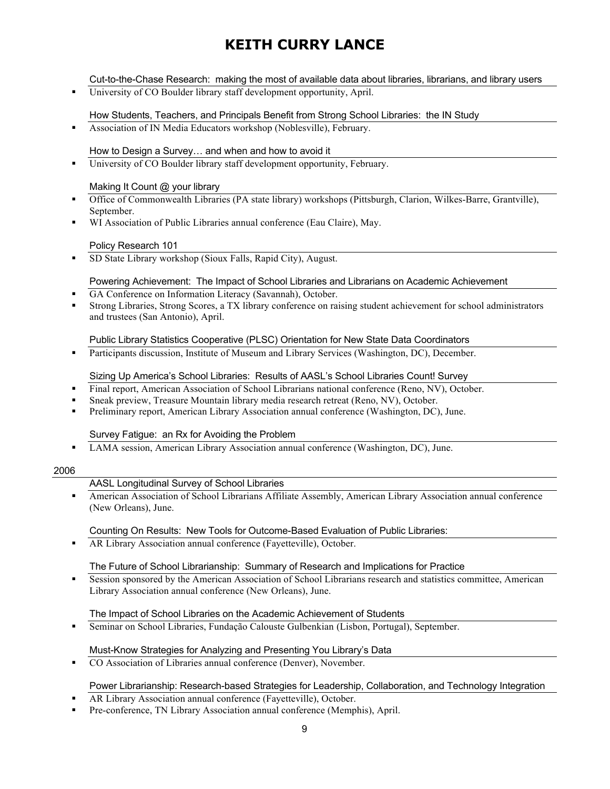Cut-to-the-Chase Research: making the most of available data about libraries, librarians, and library users

University of CO Boulder library staff development opportunity, April.

How Students, Teachers, and Principals Benefit from Strong School Libraries: the IN Study

■ Association of IN Media Educators workshop (Noblesville), February.

How to Design a Survey… and when and how to avoid it

■ University of CO Boulder library staff development opportunity, February.

### Making It Count @ your library

- Office of Commonwealth Libraries (PA state library) workshops (Pittsburgh, Clarion, Wilkes-Barre, Grantville), September.
- WI Association of Public Libraries annual conference (Eau Claire), May.

### Policy Research 101

§ SD State Library workshop (Sioux Falls, Rapid City), August.

### Powering Achievement: The Impact of School Libraries and Librarians on Academic Achievement

- GA Conference on Information Literacy (Savannah), October.
- § Strong Libraries, Strong Scores, a TX library conference on raising student achievement for school administrators and trustees (San Antonio), April.

### Public Library Statistics Cooperative (PLSC) Orientation for New State Data Coordinators

§ Participants discussion, Institute of Museum and Library Services (Washington, DC), December.

### Sizing Up America's School Libraries: Results of AASL's School Libraries Count! Survey

- Final report, American Association of School Librarians national conference (Reno, NV), October.
- § Sneak preview, Treasure Mountain library media research retreat (Reno, NV), October.
- § Preliminary report, American Library Association annual conference (Washington, DC), June.

#### Survey Fatigue: an Rx for Avoiding the Problem

§ LAMA session, American Library Association annual conference (Washington, DC), June.

#### 2006

## AASL Longitudinal Survey of School Libraries

§ American Association of School Librarians Affiliate Assembly, American Library Association annual conference (New Orleans), June.

## Counting On Results: New Tools for Outcome-Based Evaluation of Public Libraries:

**• AR Library Association annual conference (Fayetteville), October.** 

### The Future of School Librarianship: Summary of Research and Implications for Practice

Session sponsored by the American Association of School Librarians research and statistics committee, American Library Association annual conference (New Orleans), June.

#### The Impact of School Libraries on the Academic Achievement of Students

§ Seminar on School Libraries, Fundação Calouste Gulbenkian (Lisbon, Portugal), September.

#### Must-Know Strategies for Analyzing and Presenting You Library's Data

■ CO Association of Libraries annual conference (Denver), November.

## Power Librarianship: Research-based Strategies for Leadership, Collaboration, and Technology Integration

- § AR Library Association annual conference (Fayetteville), October.
- § Pre-conference, TN Library Association annual conference (Memphis), April.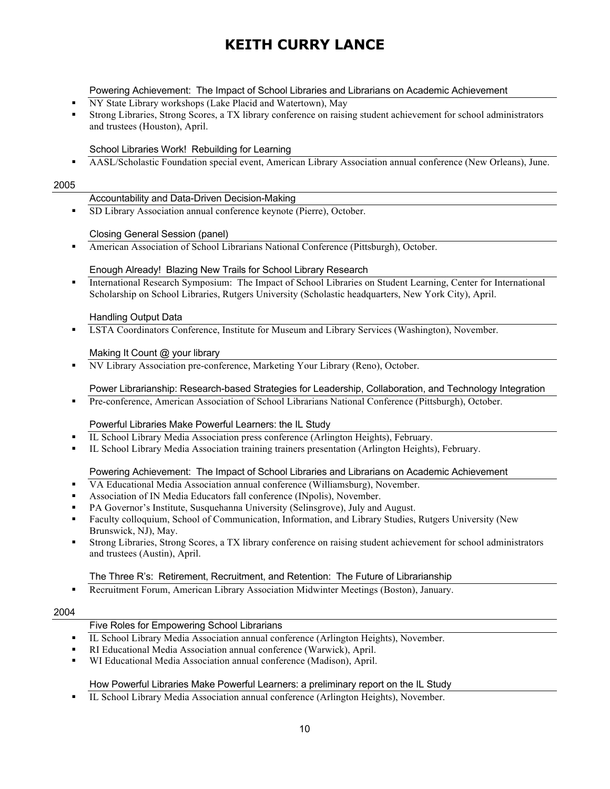#### Powering Achievement: The Impact of School Libraries and Librarians on Academic Achievement

- § NY State Library workshops (Lake Placid and Watertown), May
- § Strong Libraries, Strong Scores, a TX library conference on raising student achievement for school administrators and trustees (Houston), April.

#### School Libraries Work! Rebuilding for Learning

**• AASL/Scholastic Foundation special event, American Library Association annual conference (New Orleans), June.** 

#### 2005

#### Accountability and Data-Driven Decision-Making

§ SD Library Association annual conference keynote (Pierre), October.

#### Closing General Session (panel)

■ American Association of School Librarians National Conference (Pittsburgh), October.

#### Enough Already! Blazing New Trails for School Library Research

§ International Research Symposium: The Impact of School Libraries on Student Learning, Center for International Scholarship on School Libraries, Rutgers University (Scholastic headquarters, New York City), April.

#### Handling Output Data

• **LSTA Coordinators Conference**, Institute for Museum and Library Services (Washington), November.

#### Making It Count @ your library

§ NV Library Association pre-conference, Marketing Your Library (Reno), October.

#### Power Librarianship: Research-based Strategies for Leadership, Collaboration, and Technology Integration

■ Pre-conference, American Association of School Librarians National Conference (Pittsburgh), October.

#### Powerful Libraries Make Powerful Learners: the IL Study

- § IL School Library Media Association press conference (Arlington Heights), February.
- § IL School Library Media Association training trainers presentation (Arlington Heights), February.

#### Powering Achievement: The Impact of School Libraries and Librarians on Academic Achievement

- § VA Educational Media Association annual conference (Williamsburg), November.
- § Association of IN Media Educators fall conference (INpolis), November.
- § PA Governor's Institute, Susquehanna University (Selinsgrove), July and August.
- Faculty colloquium, School of Communication, Information, and Library Studies, Rutgers University (New Brunswick, NJ), May.
- § Strong Libraries, Strong Scores, a TX library conference on raising student achievement for school administrators and trustees (Austin), April.

#### The Three R's: Retirement, Recruitment, and Retention: The Future of Librarianship

■ Recruitment Forum, American Library Association Midwinter Meetings (Boston), January.

#### 2004

### Five Roles for Empowering School Librarians

- § IL School Library Media Association annual conference (Arlington Heights), November.
- § RI Educational Media Association annual conference (Warwick), April.
- § WI Educational Media Association annual conference (Madison), April.

### How Powerful Libraries Make Powerful Learners: a preliminary report on the IL Study

§ IL School Library Media Association annual conference (Arlington Heights), November.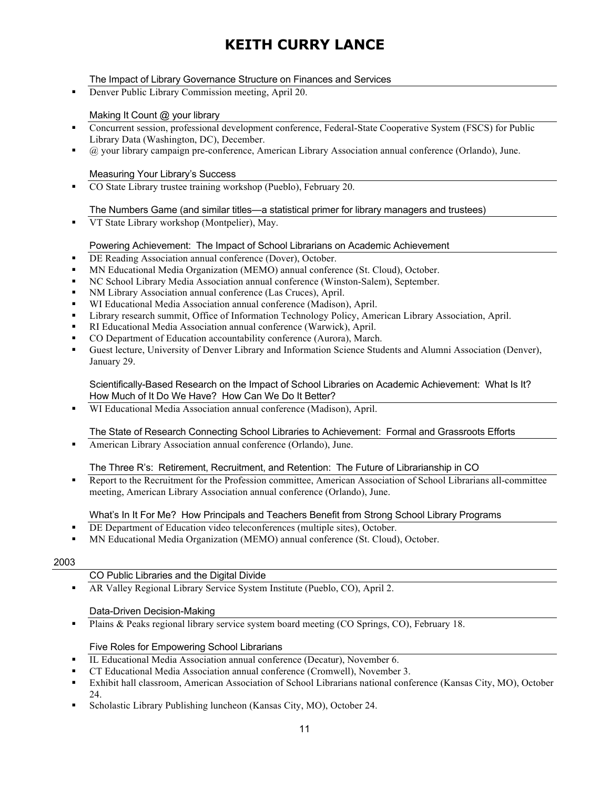## The Impact of Library Governance Structure on Finances and Services

■ Denver Public Library Commission meeting, April 20.

### Making It Count @ your library

- § Concurrent session, professional development conference, Federal-State Cooperative System (FSCS) for Public Library Data (Washington, DC), December.
- § @ your library campaign pre-conference, American Library Association annual conference (Orlando), June.

#### Measuring Your Library's Success

■ CO State Library trustee training workshop (Pueblo), February 20.

## The Numbers Game (and similar titles—a statistical primer for library managers and trustees)

■ VT State Library workshop (Montpelier), May.

### Powering Achievement: The Impact of School Librarians on Academic Achievement

- DE Reading Association annual conference (Dover), October.
- § MN Educational Media Organization (MEMO) annual conference (St. Cloud), October.
- § NC School Library Media Association annual conference (Winston-Salem), September.
- § NM Library Association annual conference (Las Cruces), April.
- § WI Educational Media Association annual conference (Madison), April.
- § Library research summit, Office of Information Technology Policy, American Library Association, April.
- § RI Educational Media Association annual conference (Warwick), April.
- § CO Department of Education accountability conference (Aurora), March.
- § Guest lecture, University of Denver Library and Information Science Students and Alumni Association (Denver), January 29.

Scientifically-Based Research on the Impact of School Libraries on Academic Achievement: What Is It? How Much of It Do We Have? How Can We Do It Better?

§ WI Educational Media Association annual conference (Madison), April.

#### The State of Research Connecting School Libraries to Achievement: Formal and Grassroots Efforts

§ American Library Association annual conference (Orlando), June.

## The Three R's: Retirement, Recruitment, and Retention: The Future of Librarianship in CO

§ Report to the Recruitment for the Profession committee, American Association of School Librarians all-committee meeting, American Library Association annual conference (Orlando), June.

#### What's In It For Me? How Principals and Teachers Benefit from Strong School Library Programs

- DE Department of Education video teleconferences (multiple sites), October.
- § MN Educational Media Organization (MEMO) annual conference (St. Cloud), October.

#### 2003

- CO Public Libraries and the Digital Divide
- § AR Valley Regional Library Service System Institute (Pueblo, CO), April 2.

#### Data-Driven Decision-Making

**•** Plains & Peaks regional library service system board meeting (CO Springs, CO), February 18.

#### Five Roles for Empowering School Librarians

- § IL Educational Media Association annual conference (Decatur), November 6.
- § CT Educational Media Association annual conference (Cromwell), November 3.
- Exhibit hall classroom, American Association of School Librarians national conference (Kansas City, MO), October 24.
- Scholastic Library Publishing luncheon (Kansas City, MO), October 24.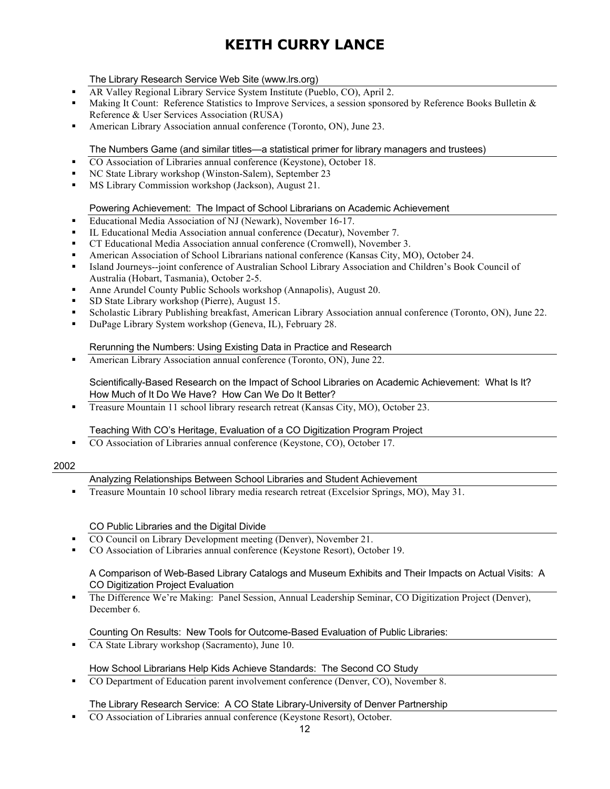## The Library Research Service Web Site (www.lrs.org)

- § AR Valley Regional Library Service System Institute (Pueblo, CO), April 2.
- Making It Count: Reference Statistics to Improve Services, a session sponsored by Reference Books Bulletin & Reference & User Services Association (RUSA)
- § American Library Association annual conference (Toronto, ON), June 23.

### The Numbers Game (and similar titles—a statistical primer for library managers and trustees)

- CO Association of Libraries annual conference (Keystone), October 18.
- § NC State Library workshop (Winston-Salem), September 23
- § MS Library Commission workshop (Jackson), August 21.

### Powering Achievement: The Impact of School Librarians on Academic Achievement

- Educational Media Association of NJ (Newark), November 16-17.
- IL Educational Media Association annual conference (Decatur), November 7.
- § CT Educational Media Association annual conference (Cromwell), November 3.
- § American Association of School Librarians national conference (Kansas City, MO), October 24.
- § Island Journeys--joint conference of Australian School Library Association and Children's Book Council of Australia (Hobart, Tasmania), October 2-5.
- § Anne Arundel County Public Schools workshop (Annapolis), August 20.
- § SD State Library workshop (Pierre), August 15.
- § Scholastic Library Publishing breakfast, American Library Association annual conference (Toronto, ON), June 22.
- § DuPage Library System workshop (Geneva, IL), February 28.

### Rerunning the Numbers: Using Existing Data in Practice and Research

■ American Library Association annual conference (Toronto, ON), June 22.

Scientifically-Based Research on the Impact of School Libraries on Academic Achievement: What Is It? How Much of It Do We Have? How Can We Do It Better?

■ Treasure Mountain 11 school library research retreat (Kansas City, MO), October 23.

### Teaching With CO's Heritage, Evaluation of a CO Digitization Program Project

■ CO Association of Libraries annual conference (Keystone, CO), October 17.

### 2002

#### Analyzing Relationships Between School Libraries and Student Achievement

§ Treasure Mountain 10 school library media research retreat (Excelsior Springs, MO), May 31.

CO Public Libraries and the Digital Divide

- § CO Council on Library Development meeting (Denver), November 21.
- § CO Association of Libraries annual conference (Keystone Resort), October 19.

#### A Comparison of Web-Based Library Catalogs and Museum Exhibits and Their Impacts on Actual Visits: A CO Digitization Project Evaluation

§ The Difference We're Making: Panel Session, Annual Leadership Seminar, CO Digitization Project (Denver), December 6.

#### Counting On Results: New Tools for Outcome-Based Evaluation of Public Libraries:

■ CA State Library workshop (Sacramento), June 10.

#### How School Librarians Help Kids Achieve Standards: The Second CO Study

§ CO Department of Education parent involvement conference (Denver, CO), November 8.

#### The Library Research Service: A CO State Library-University of Denver Partnership

§ CO Association of Libraries annual conference (Keystone Resort), October.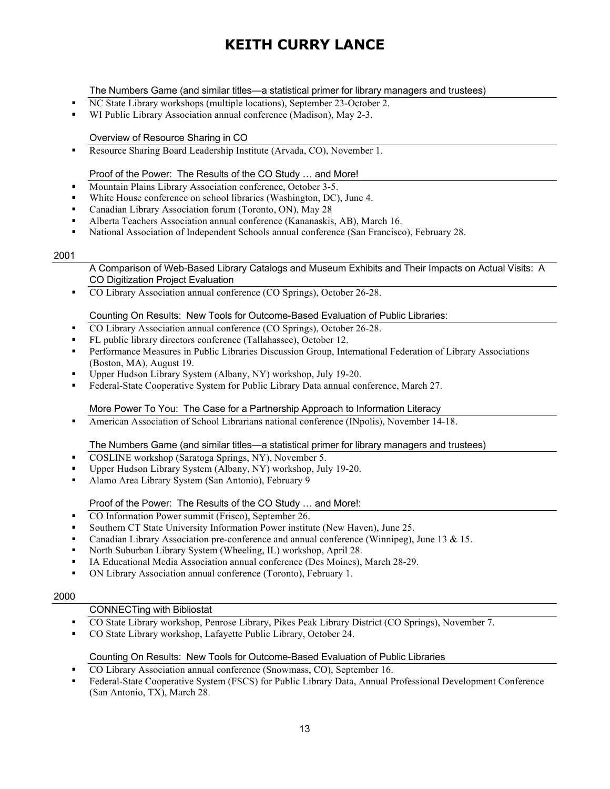The Numbers Game (and similar titles—a statistical primer for library managers and trustees)

- NC State Library workshops (multiple locations), September 23-October 2.
- WI Public Library Association annual conference (Madison), May 2-3.

### Overview of Resource Sharing in CO

■ Resource Sharing Board Leadership Institute (Arvada, CO), November 1.

## Proof of the Power: The Results of the CO Study … and More!

- Mountain Plains Library Association conference, October 3-5.
- § White House conference on school libraries (Washington, DC), June 4.
- § Canadian Library Association forum (Toronto, ON), May 28
- § Alberta Teachers Association annual conference (Kananaskis, AB), March 16.
- National Association of Independent Schools annual conference (San Francisco), February 28.

#### 2001

A Comparison of Web-Based Library Catalogs and Museum Exhibits and Their Impacts on Actual Visits: A CO Digitization Project Evaluation

§ CO Library Association annual conference (CO Springs), October 26-28.

### Counting On Results: New Tools for Outcome-Based Evaluation of Public Libraries:

- CO Library Association annual conference (CO Springs), October 26-28.
- § FL public library directors conference (Tallahassee), October 12.
- § Performance Measures in Public Libraries Discussion Group, International Federation of Library Associations (Boston, MA), August 19.
- § Upper Hudson Library System (Albany, NY) workshop, July 19-20.
- Federal-State Cooperative System for Public Library Data annual conference, March 27.

## More Power To You: The Case for a Partnership Approach to Information Literacy

• American Association of School Librarians national conference (INpolis), November 14-18.

### The Numbers Game (and similar titles—a statistical primer for library managers and trustees)

- § COSLINE workshop (Saratoga Springs, NY), November 5.
- § Upper Hudson Library System (Albany, NY) workshop, July 19-20.
- Alamo Area Library System (San Antonio), February 9

## Proof of the Power: The Results of the CO Study … and More!:

- CO Information Power summit (Frisco), September 26.
- § Southern CT State University Information Power institute (New Haven), June 25.
- Canadian Library Association pre-conference and annual conference (Winnipeg), June 13 & 15.
- § North Suburban Library System (Wheeling, IL) workshop, April 28.
- § IA Educational Media Association annual conference (Des Moines), March 28-29.
- § ON Library Association annual conference (Toronto), February 1.

#### 2000

### CONNECTing with Bibliostat

- § CO State Library workshop, Penrose Library, Pikes Peak Library District (CO Springs), November 7.
- § CO State Library workshop, Lafayette Public Library, October 24.

#### Counting On Results: New Tools for Outcome-Based Evaluation of Public Libraries

- CO Library Association annual conference (Snowmass,  $\overline{CO}$ ), September 16.
- Federal-State Cooperative System (FSCS) for Public Library Data, Annual Professional Development Conference (San Antonio, TX), March 28.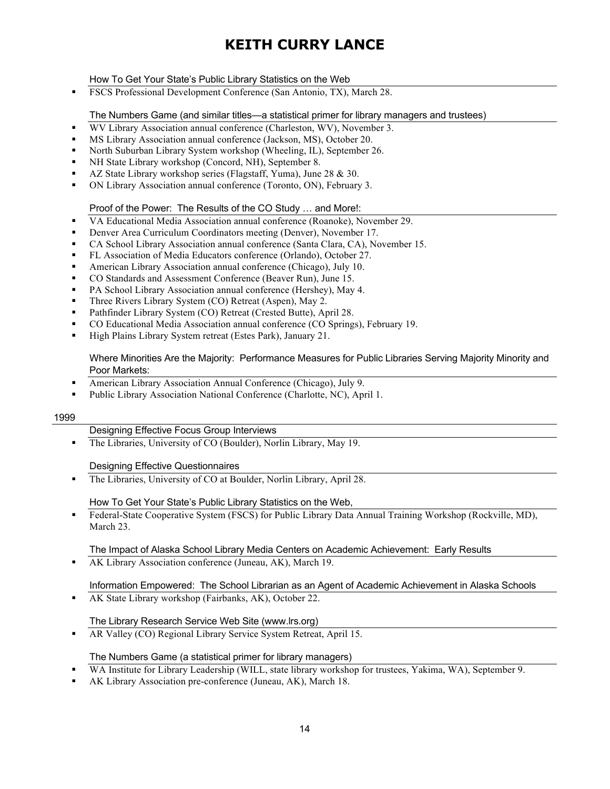### How To Get Your State's Public Library Statistics on the Web

§ FSCS Professional Development Conference (San Antonio, TX), March 28.

The Numbers Game (and similar titles—a statistical primer for library managers and trustees)

- WV Library Association annual conference (Charleston, WV), November 3.
- § MS Library Association annual conference (Jackson, MS), October 20.
- § North Suburban Library System workshop (Wheeling, IL), September 26.
- § NH State Library workshop (Concord, NH), September 8.
- § AZ State Library workshop series (Flagstaff, Yuma), June 28 & 30.
- § ON Library Association annual conference (Toronto, ON), February 3.

Proof of the Power: The Results of the CO Study … and More!:

- § VA Educational Media Association annual conference (Roanoke), November 29.
- **Denver Area Curriculum Coordinators meeting (Denver), November 17.**
- CA School Library Association annual conference (Santa Clara, CA), November 15.
- § FL Association of Media Educators conference (Orlando), October 27.
- § American Library Association annual conference (Chicago), July 10.
- § CO Standards and Assessment Conference (Beaver Run), June 15.
- § PA School Library Association annual conference (Hershey), May 4.
- § Three Rivers Library System (CO) Retreat (Aspen), May 2.
- § Pathfinder Library System (CO) Retreat (Crested Butte), April 28.
- § CO Educational Media Association annual conference (CO Springs), February 19.
- § High Plains Library System retreat (Estes Park), January 21.

#### Where Minorities Are the Majority: Performance Measures for Public Libraries Serving Majority Minority and Poor Markets:

- American Library Association Annual Conference (Chicago), July 9.
- § Public Library Association National Conference (Charlotte, NC), April 1.

#### 1999

#### Designing Effective Focus Group Interviews

The Libraries, University of CO (Boulder), Norlin Library, May 19.

#### Designing Effective Questionnaires

■ The Libraries, University of CO at Boulder, Norlin Library, April 28.

#### How To Get Your State's Public Library Statistics on the Web,

§ Federal-State Cooperative System (FSCS) for Public Library Data Annual Training Workshop (Rockville, MD), March 23.

#### The Impact of Alaska School Library Media Centers on Academic Achievement: Early Results

**• AK Library Association conference (Juneau, AK), March 19.** 

## Information Empowered: The School Librarian as an Agent of Academic Achievement in Alaska Schools

§ AK State Library workshop (Fairbanks, AK), October 22.

#### The Library Research Service Web Site (www.lrs.org)

§ AR Valley (CO) Regional Library Service System Retreat, April 15.

#### The Numbers Game (a statistical primer for library managers)

- § WA Institute for Library Leadership (WILL, state library workshop for trustees, Yakima, WA), September 9.
- § AK Library Association pre-conference (Juneau, AK), March 18.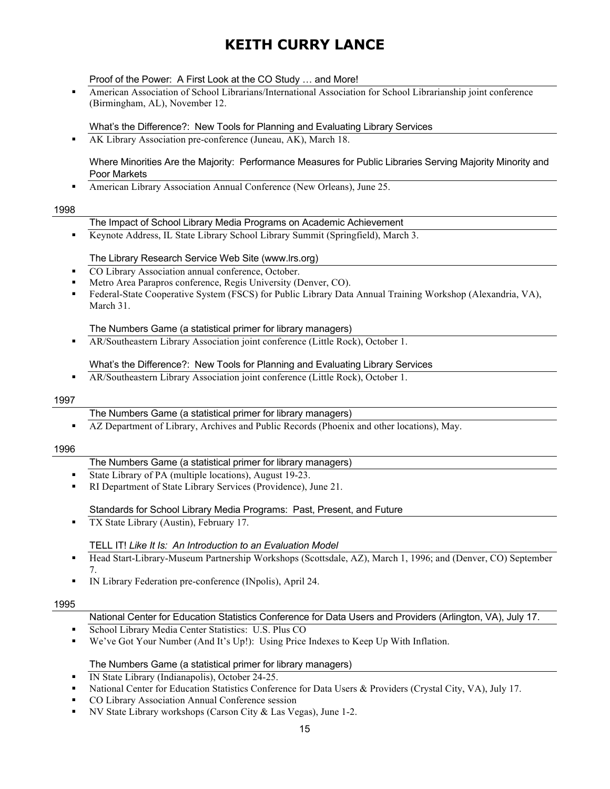Proof of the Power: A First Look at the CO Study … and More!

§ American Association of School Librarians/International Association for School Librarianship joint conference (Birmingham, AL), November 12.

What's the Difference?: New Tools for Planning and Evaluating Library Services

**• AK Library Association pre-conference (Juneau, AK), March 18.** 

Where Minorities Are the Majority: Performance Measures for Public Libraries Serving Majority Minority and Poor Markets

■ American Library Association Annual Conference (New Orleans), June 25.

#### 1998

#### The Impact of School Library Media Programs on Academic Achievement

§ Keynote Address, IL State Library School Library Summit (Springfield), March 3.

#### The Library Research Service Web Site (www.lrs.org)

- § CO Library Association annual conference, October.
- § Metro Area Parapros conference, Regis University (Denver, CO).
- Federal-State Cooperative System (FSCS) for Public Library Data Annual Training Workshop (Alexandria, VA), March 31.

The Numbers Game (a statistical primer for library managers)

§ AR/Southeastern Library Association joint conference (Little Rock), October 1.

What's the Difference?: New Tools for Planning and Evaluating Library Services

**• AR/Southeastern Library Association joint conference (Little Rock), October 1.** 

#### 1997

- The Numbers Game (a statistical primer for library managers)
- § AZ Department of Library, Archives and Public Records (Phoenix and other locations), May.

#### 1996

## The Numbers Game (a statistical primer for library managers)

- § State Library of PA (multiple locations), August 19-23.
- § RI Department of State Library Services (Providence), June 21.

#### Standards for School Library Media Programs: Past, Present, and Future

■ TX State Library (Austin), February 17.

#### TELL IT! *Like It Is: An Introduction to an Evaluation Model*

- § Head Start-Library-Museum Partnership Workshops (Scottsdale, AZ), March 1, 1996; and (Denver, CO) September 7.
- § IN Library Federation pre-conference (INpolis), April 24.

#### 1995

#### National Center for Education Statistics Conference for Data Users and Providers (Arlington, VA), July 17.

- § School Library Media Center Statistics: U.S. Plus CO
- We've Got Your Number (And It's Up!): Using Price Indexes to Keep Up With Inflation.

#### The Numbers Game (a statistical primer for library managers)

- § IN State Library (Indianapolis), October 24-25.
- § National Center for Education Statistics Conference for Data Users & Providers (Crystal City, VA), July 17.
- § CO Library Association Annual Conference session
- NV State Library workshops (Carson City & Las Vegas), June 1-2.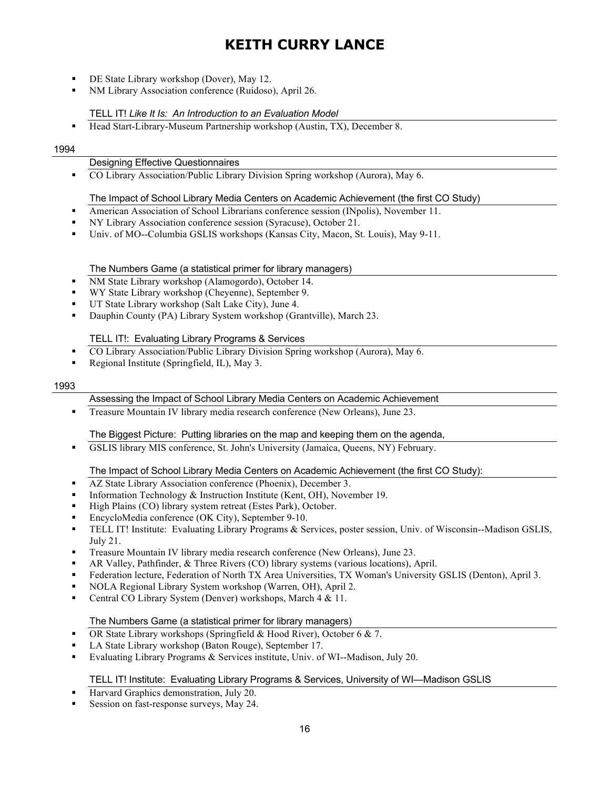- § DE State Library workshop (Dover), May 12.
- § NM Library Association conference (Ruidoso), April 26.

### TELL IT! *Like It Is: An Introduction to an Evaluation Model*

§ Head Start-Library-Museum Partnership workshop (Austin, TX), December 8.

#### 1994

#### Designing Effective Questionnaires

§ CO Library Association/Public Library Division Spring workshop (Aurora), May 6.

#### The Impact of School Library Media Centers on Academic Achievement (the first CO Study)

- § American Association of School Librarians conference session (INpolis), November 11.
- § NY Library Association conference session (Syracuse), October 21.
- Univ. of MO--Columbia GSLIS workshops (Kansas City, Macon, St. Louis), May 9-11.

### The Numbers Game (a statistical primer for library managers)

- NM State Library workshop (Alamogordo), October 14.
- § WY State Library workshop (Cheyenne), September 9.
- UT State Library workshop (Salt Lake City), June 4.
- § Dauphin County (PA) Library System workshop (Grantville), March 23.

#### TELL IT!: Evaluating Library Programs & Services

- § CO Library Association/Public Library Division Spring workshop (Aurora), May 6.
- § Regional Institute (Springfield, IL), May 3.

#### 1993

#### Assessing the Impact of School Library Media Centers on Academic Achievement

**•** Treasure Mountain IV library media research conference (New Orleans), June 23.

#### The Biggest Picture: Putting libraries on the map and keeping them on the agenda,

§ GSLIS library MIS conference, St. John's University (Jamaica, Queens, NY) February.

#### The Impact of School Library Media Centers on Academic Achievement (the first CO Study):

- § AZ State Library Association conference (Phoenix), December 3.
- Information Technology & Instruction Institute (Kent, OH), November 19.
- § High Plains (CO) library system retreat (Estes Park), October.
- EncycloMedia conference (OK City), September 9-10.
- TELL IT! Institute: Evaluating Library Programs & Services, poster session, Univ. of Wisconsin-Madison GSLIS, July 21.
- § Treasure Mountain IV library media research conference (New Orleans), June 23.
- § AR Valley, Pathfinder, & Three Rivers (CO) library systems (various locations), April.
- § Federation lecture, Federation of North TX Area Universities, TX Woman's University GSLIS (Denton), April 3.
- § NOLA Regional Library System workshop (Warren, OH), April 2.
- § Central CO Library System (Denver) workshops, March 4 & 11.

#### The Numbers Game (a statistical primer for library managers)

- § OR State Library workshops (Springfield & Hood River), October 6 & 7.
- § LA State Library workshop (Baton Rouge), September 17.
- § Evaluating Library Programs & Services institute, Univ. of WI--Madison, July 20.

#### TELL IT! Institute: Evaluating Library Programs & Services, University of WI—Madison GSLIS

- Harvard Graphics demonstration, July 20.
- Session on fast-response surveys, May 24.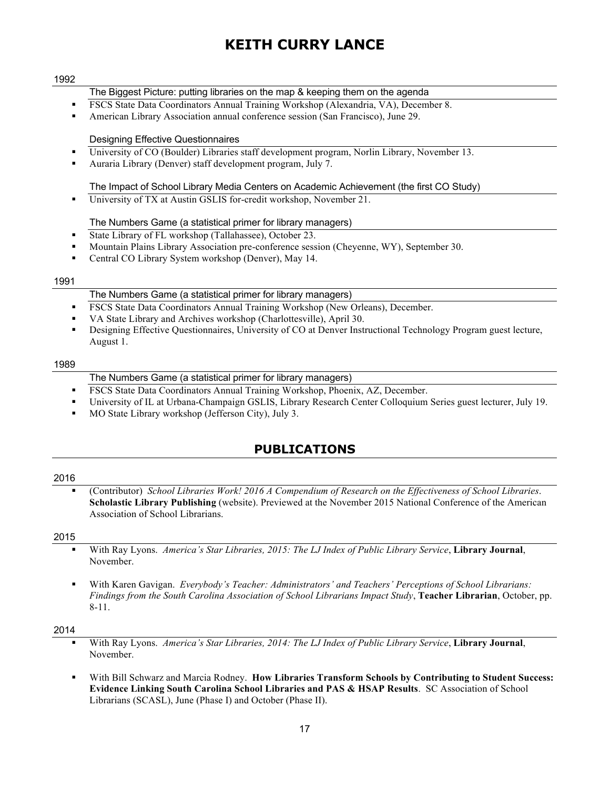#### 1992

- The Biggest Picture: putting libraries on the map & keeping them on the agenda
- § FSCS State Data Coordinators Annual Training Workshop (Alexandria, VA), December 8.
- § American Library Association annual conference session (San Francisco), June 29.

#### Designing Effective Questionnaires

- § University of CO (Boulder) Libraries staff development program, Norlin Library, November 13.
- § Auraria Library (Denver) staff development program, July 7.

#### The Impact of School Library Media Centers on Academic Achievement (the first CO Study)

■ University of TX at Austin GSLIS for-credit workshop, November 21.

#### The Numbers Game (a statistical primer for library managers)

- State Library of FL workshop (Tallahassee), October 23.
- § Mountain Plains Library Association pre-conference session (Cheyenne, WY), September 30.
- § Central CO Library System workshop (Denver), May 14.

#### 1991

#### The Numbers Game (a statistical primer for library managers)

- **FSCS State Data Coordinators Annual Training Workshop (New Orleans), December.**
- § VA State Library and Archives workshop (Charlottesville), April 30.
- § Designing Effective Questionnaires, University of CO at Denver Instructional Technology Program guest lecture, August 1.

#### 1989

- The Numbers Game (a statistical primer for library managers)
- **FSCS State Data Coordinators Annual Training Workshop, Phoenix, AZ, December.**
- § University of IL at Urbana-Champaign GSLIS, Library Research Center Colloquium Series guest lecturer, July 19.
- § MO State Library workshop (Jefferson City), July 3.

## **PUBLICATIONS**

#### 2016

§ (Contributor) *School Libraries Work! 2016 A Compendium of Research on the Effectiveness of School Libraries*. **Scholastic Library Publishing** (website). Previewed at the November 2015 National Conference of the American Association of School Librarians.

#### 2015

- § With Ray Lyons. *America's Star Libraries, 2015: The LJ Index of Public Library Service*, **Library Journal**, November.
- § With Karen Gavigan. *Everybody's Teacher: Administrators' and Teachers' Perceptions of School Librarians: Findings from the South Carolina Association of School Librarians Impact Study*, **Teacher Librarian**, October, pp. 8-11.

- § With Ray Lyons. *America's Star Libraries, 2014: The LJ Index of Public Library Service*, **Library Journal**, November.
- § With Bill Schwarz and Marcia Rodney. **How Libraries Transform Schools by Contributing to Student Success: Evidence Linking South Carolina School Libraries and PAS & HSAP Results**. SC Association of School Librarians (SCASL), June (Phase I) and October (Phase II).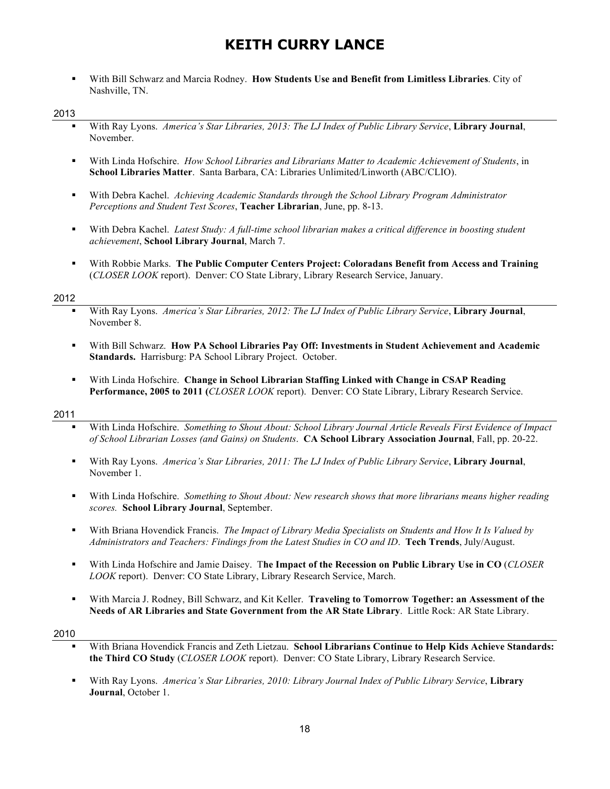§ With Bill Schwarz and Marcia Rodney. **How Students Use and Benefit from Limitless Libraries**. City of Nashville, TN.

#### 2013

- § With Ray Lyons. *America's Star Libraries, 2013: The LJ Index of Public Library Service*, **Library Journal**, November.
- § With Linda Hofschire. *How School Libraries and Librarians Matter to Academic Achievement of Students*, in **School Libraries Matter**. Santa Barbara, CA: Libraries Unlimited/Linworth (ABC/CLIO).
- § With Debra Kachel. *Achieving Academic Standards through the School Library Program Administrator Perceptions and Student Test Scores*, **Teacher Librarian**, June, pp. 8-13.
- § With Debra Kachel. *Latest Study: A full-time school librarian makes a critical difference in boosting student achievement*, **School Library Journal**, March 7.
- § With Robbie Marks. **The Public Computer Centers Project: Coloradans Benefit from Access and Training** (*CLOSER LOOK* report). Denver: CO State Library, Library Research Service, January.

#### 2012

- § With Ray Lyons. *America's Star Libraries, 2012: The LJ Index of Public Library Service*, **Library Journal**, November 8.
- § With Bill Schwarz. **How PA School Libraries Pay Off: Investments in Student Achievement and Academic Standards.** Harrisburg: PA School Library Project. October.
- § With Linda Hofschire. **Change in School Librarian Staffing Linked with Change in CSAP Reading Performance, 2005 to 2011 (***CLOSER LOOK* report). Denver: CO State Library, Library Research Service.

#### 2011

- § With Linda Hofschire. *Something to Shout About: School Library Journal Article Reveals First Evidence of Impact of School Librarian Losses (and Gains) on Students*. **CA School Library Association Journal**, Fall, pp. 20-22.
- § With Ray Lyons. *America's Star Libraries, 2011: The LJ Index of Public Library Service*, **Library Journal**, November 1.
- § With Linda Hofschire. *Something to Shout About: New research shows that more librarians means higher reading scores.* **School Library Journal**, September.
- § With Briana Hovendick Francis. *The Impact of Library Media Specialists on Students and How It Is Valued by Administrators and Teachers: Findings from the Latest Studies in CO and ID*. **Tech Trends**, July/August.
- § With Linda Hofschire and Jamie Daisey. T**he Impact of the Recession on Public Library Use in CO** (*CLOSER LOOK* report). Denver: CO State Library, Library Research Service, March.
- § With Marcia J. Rodney, Bill Schwarz, and Kit Keller. **Traveling to Tomorrow Together: an Assessment of the Needs of AR Libraries and State Government from the AR State Library**. Little Rock: AR State Library.

- § With Briana Hovendick Francis and Zeth Lietzau. **School Librarians Continue to Help Kids Achieve Standards: the Third CO Study** (*CLOSER LOOK* report). Denver: CO State Library, Library Research Service.
- § With Ray Lyons. *America's Star Libraries, 2010: Library Journal Index of Public Library Service*, **Library Journal**, October 1.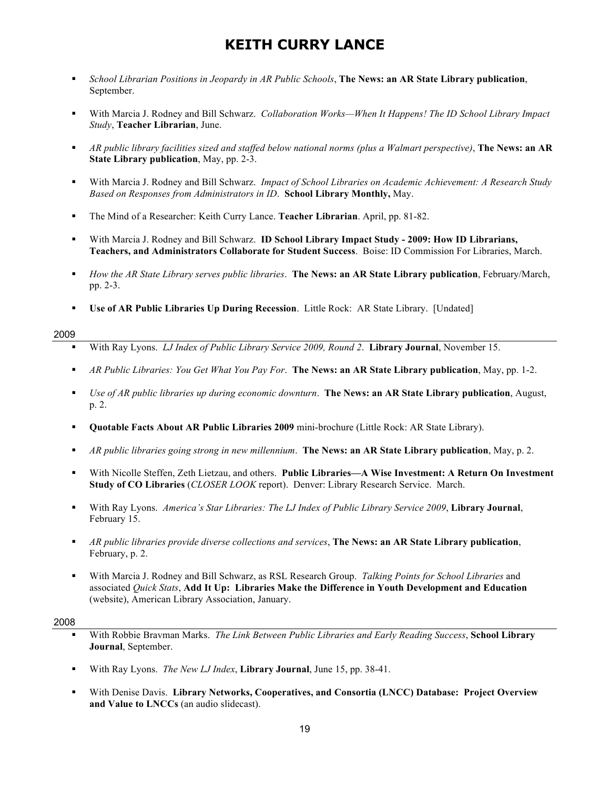- § *School Librarian Positions in Jeopardy in AR Public Schools*, **The News: an AR State Library publication**, September.
- § With Marcia J. Rodney and Bill Schwarz. *Collaboration Works—When It Happens! The ID School Library Impact Study*, **Teacher Librarian**, June.
- § *AR public library facilities sized and staffed below national norms (plus a Walmart perspective)*, **The News: an AR State Library publication**, May, pp. 2-3.
- § With Marcia J. Rodney and Bill Schwarz. *Impact of School Libraries on Academic Achievement: A Research Study Based on Responses from Administrators in ID*. **School Library Monthly,** May.
- § The Mind of a Researcher: Keith Curry Lance. **Teacher Librarian**. April, pp. 81-82.
- § With Marcia J. Rodney and Bill Schwarz. **ID School Library Impact Study - 2009: How ID Librarians, Teachers, and Administrators Collaborate for Student Success**. Boise: ID Commission For Libraries, March.
- § *How the AR State Library serves public libraries*. **The News: an AR State Library publication**, February/March, pp. 2-3.
- § **Use of AR Public Libraries Up During Recession**. Little Rock: AR State Library. [Undated]

#### 2009

- § With Ray Lyons. *LJ Index of Public Library Service 2009, Round 2*. **Library Journal**, November 15.
- § *AR Public Libraries: You Get What You Pay For*. **The News: an AR State Library publication**, May, pp. 1-2.
- § *Use of AR public libraries up during economic downturn*. **The News: an AR State Library publication**, August, p. 2.
- § **Quotable Facts About AR Public Libraries 2009** mini-brochure (Little Rock: AR State Library).
- § *AR public libraries going strong in new millennium*. **The News: an AR State Library publication**, May, p. 2.
- § With Nicolle Steffen, Zeth Lietzau, and others. **Public Libraries—A Wise Investment: A Return On Investment Study of CO Libraries** (*CLOSER LOOK* report). Denver: Library Research Service. March.
- § With Ray Lyons. *America's Star Libraries: The LJ Index of Public Library Service 2009*, **Library Journal**, February 15.
- § *AR public libraries provide diverse collections and services*, **The News: an AR State Library publication**, February, p. 2.
- § With Marcia J. Rodney and Bill Schwarz, as RSL Research Group. *Talking Points for School Libraries* and associated *Quick Stats*, **Add It Up: Libraries Make the Difference in Youth Development and Education** (website), American Library Association, January.

- § With Robbie Bravman Marks. *The Link Between Public Libraries and Early Reading Success*, **School Library Journal**, September.
- § With Ray Lyons. *The New LJ Index*, **Library Journal**, June 15, pp. 38-41.
- § With Denise Davis. **Library Networks, Cooperatives, and Consortia (LNCC) Database: Project Overview and Value to LNCCs** (an audio slidecast).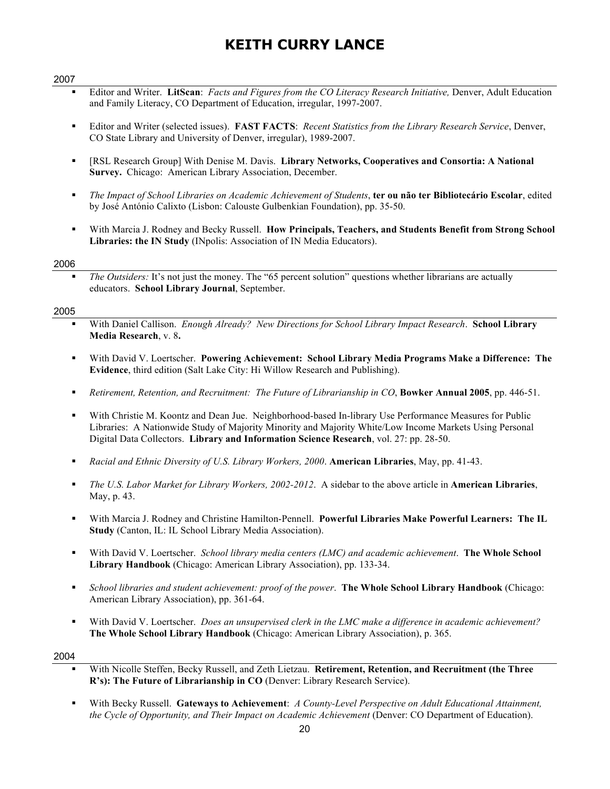#### 2007

- § Editor and Writer. **LitScan**: *Facts and Figures from the CO Literacy Research Initiative,* Denver, Adult Education and Family Literacy, CO Department of Education, irregular, 1997-2007.
- § Editor and Writer (selected issues). **FAST FACTS**: *Recent Statistics from the Library Research Service*, Denver, CO State Library and University of Denver, irregular), 1989-2007.
- § [RSL Research Group] With Denise M. Davis. **Library Networks, Cooperatives and Consortia: A National Survey.** Chicago: American Library Association, December.
- § *The Impact of School Libraries on Academic Achievement of Students*, **ter ou não ter Bibliotecário Escolar**, edited by José António Calixto (Lisbon: Calouste Gulbenkian Foundation), pp. 35-50.
- § With Marcia J. Rodney and Becky Russell. **How Principals, Teachers, and Students Benefit from Strong School Libraries: the IN Study** (INpolis: Association of IN Media Educators).

#### 2006

§ *The Outsiders:* It's not just the money. The "65 percent solution" questions whether librarians are actually educators. **School Library Journal**, September.

#### 2005

- § With Daniel Callison. *Enough Already? New Directions for School Library Impact Research*. **School Library Media Research**, v. 8**.**
- § With David V. Loertscher. **Powering Achievement: School Library Media Programs Make a Difference: The Evidence**, third edition (Salt Lake City: Hi Willow Research and Publishing).
- § *Retirement, Retention, and Recruitment: The Future of Librarianship in CO*, **Bowker Annual 2005**, pp. 446-51.
- With Christie M. Koontz and Dean Jue. Neighborhood-based In-library Use Performance Measures for Public Libraries: A Nationwide Study of Majority Minority and Majority White/Low Income Markets Using Personal Digital Data Collectors. **Library and Information Science Research**, vol. 27: pp. 28-50.
- § *Racial and Ethnic Diversity of U.S. Library Workers, 2000*. **American Libraries**, May, pp. 41-43.
- § *The U.S. Labor Market for Library Workers, 2002-2012*. A sidebar to the above article in **American Libraries**, May, p. 43.
- § With Marcia J. Rodney and Christine Hamilton-Pennell. **Powerful Libraries Make Powerful Learners: The IL Study** (Canton, IL: IL School Library Media Association).
- § With David V. Loertscher. *School library media centers (LMC) and academic achievement*. **The Whole School Library Handbook** (Chicago: American Library Association), pp. 133-34.
- § *School libraries and student achievement: proof of the power*. **The Whole School Library Handbook** (Chicago: American Library Association), pp. 361-64.
- § With David V. Loertscher. *Does an unsupervised clerk in the LMC make a difference in academic achievement?* **The Whole School Library Handbook** (Chicago: American Library Association), p. 365.

- § With Nicolle Steffen, Becky Russell, and Zeth Lietzau. **Retirement, Retention, and Recruitment (the Three R's): The Future of Librarianship in CO** (Denver: Library Research Service).
- § With Becky Russell. **Gateways to Achievement**: *A County-Level Perspective on Adult Educational Attainment, the Cycle of Opportunity, and Their Impact on Academic Achievement* (Denver: CO Department of Education).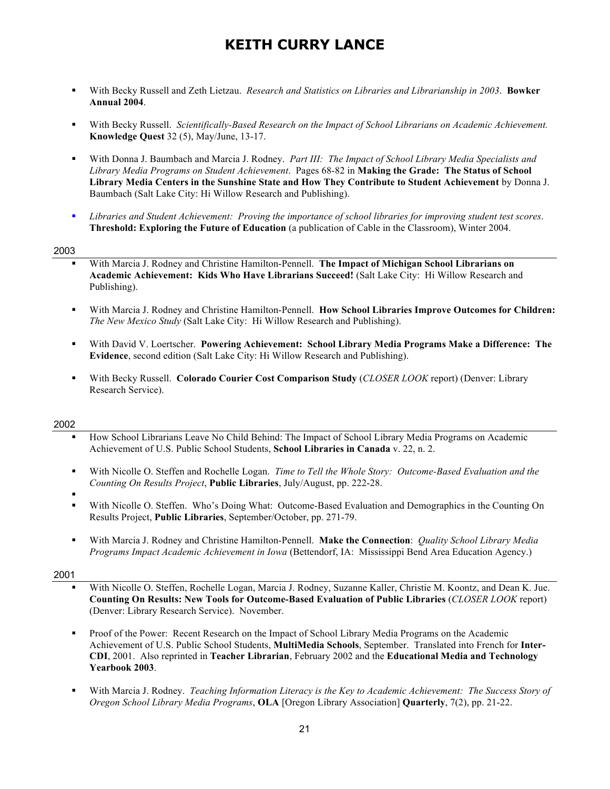- § With Becky Russell and Zeth Lietzau. *Research and Statistics on Libraries and Librarianship in 2003*. **Bowker Annual 2004**.
- § With Becky Russell. *Scientifically-Based Research on the Impact of School Librarians on Academic Achievement.* **Knowledge Quest** 32 (5), May/June, 13-17.
- § With Donna J. Baumbach and Marcia J. Rodney. *Part III: The Impact of School Library Media Specialists and Library Media Programs on Student Achievement*. Pages 68-82 in **Making the Grade: The Status of School Library Media Centers in the Sunshine State and How They Contribute to Student Achievement** by Donna J. Baumbach (Salt Lake City: Hi Willow Research and Publishing).
- § *Libraries and Student Achievement: Proving the importance of school libraries for improving student test scores*. **Threshold: Exploring the Future of Education** (a publication of Cable in the Classroom), Winter 2004.

#### 2003

- § With Marcia J. Rodney and Christine Hamilton-Pennell. **The Impact of Michigan School Librarians on Academic Achievement: Kids Who Have Librarians Succeed!** (Salt Lake City: Hi Willow Research and Publishing).
- § With Marcia J. Rodney and Christine Hamilton-Pennell. **How School Libraries Improve Outcomes for Children:**  *The New Mexico Study* (Salt Lake City: Hi Willow Research and Publishing).
- § With David V. Loertscher. **Powering Achievement: School Library Media Programs Make a Difference: The Evidence**, second edition (Salt Lake City: Hi Willow Research and Publishing).
- § With Becky Russell. **Colorado Courier Cost Comparison Study** (*CLOSER LOOK* report) (Denver: Library Research Service).

#### 2002

- § How School Librarians Leave No Child Behind: The Impact of School Library Media Programs on Academic Achievement of U.S. Public School Students, **School Libraries in Canada** v. 22, n. 2.
- § With Nicolle O. Steffen and Rochelle Logan. *Time to Tell the Whole Story: Outcome-Based Evaluation and the Counting On Results Project*, **Public Libraries**, July/August, pp. 222-28.
- §
- With Nicolle O. Steffen. Who's Doing What: Outcome-Based Evaluation and Demographics in the Counting On Results Project, **Public Libraries**, September/October, pp. 271-79.
- § With Marcia J. Rodney and Christine Hamilton-Pennell. **Make the Connection**: *Quality School Library Media Programs Impact Academic Achievement in Iowa* (Bettendorf, IA: Mississippi Bend Area Education Agency.)

- § With Nicolle O. Steffen, Rochelle Logan, Marcia J. Rodney, Suzanne Kaller, Christie M. Koontz, and Dean K. Jue. **Counting On Results: New Tools for Outcome-Based Evaluation of Public Libraries** (*CLOSER LOOK* report) (Denver: Library Research Service). November.
- Proof of the Power: Recent Research on the Impact of School Library Media Programs on the Academic Achievement of U.S. Public School Students, **MultiMedia Schools**, September. Translated into French for **Inter-CDI**, 2001. Also reprinted in **Teacher Librarian**, February 2002 and the **Educational Media and Technology Yearbook 2003**.
- § With Marcia J. Rodney. *Teaching Information Literacy is the Key to Academic Achievement: The Success Story of Oregon School Library Media Programs*, **OLA** [Oregon Library Association] **Quarterly**, 7(2), pp. 21-22.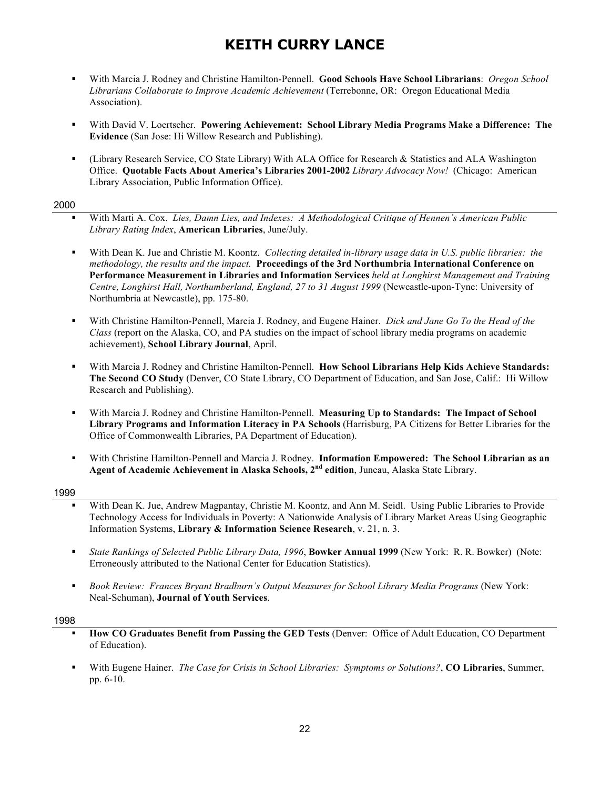- § With Marcia J. Rodney and Christine Hamilton-Pennell. **Good Schools Have School Librarians**: *Oregon School Librarians Collaborate to Improve Academic Achievement* (Terrebonne, OR: Oregon Educational Media Association).
- § With David V. Loertscher. **Powering Achievement: School Library Media Programs Make a Difference: The Evidence** (San Jose: Hi Willow Research and Publishing).
- § (Library Research Service, CO State Library) With ALA Office for Research & Statistics and ALA Washington Office. **Quotable Facts About America's Libraries 2001-2002** *Library Advocacy Now!* (Chicago: American Library Association, Public Information Office).

#### 2000

- § With Marti A. Cox. *Lies, Damn Lies, and Indexes: A Methodological Critique of Hennen's American Public Library Rating Index*, **American Libraries**, June/July.
- § With Dean K. Jue and Christie M. Koontz. *Collecting detailed in-library usage data in U.S. public libraries: the methodology, the results and the impact.* **Proceedings of the 3rd Northumbria International Conference on Performance Measurement in Libraries and Information Services** *held at Longhirst Management and Training Centre, Longhirst Hall, Northumberland, England, 27 to 31 August 1999* (Newcastle-upon-Tyne: University of Northumbria at Newcastle), pp. 175-80.
- § With Christine Hamilton-Pennell, Marcia J. Rodney, and Eugene Hainer. *Dick and Jane Go To the Head of the Class* (report on the Alaska, CO, and PA studies on the impact of school library media programs on academic achievement), **School Library Journal**, April.
- § With Marcia J. Rodney and Christine Hamilton-Pennell. **How School Librarians Help Kids Achieve Standards: The Second CO Study** (Denver, CO State Library, CO Department of Education, and San Jose, Calif.: Hi Willow Research and Publishing).
- § With Marcia J. Rodney and Christine Hamilton-Pennell. **Measuring Up to Standards: The Impact of School Library Programs and Information Literacy in PA Schools** (Harrisburg, PA Citizens for Better Libraries for the Office of Commonwealth Libraries, PA Department of Education).
- § With Christine Hamilton-Pennell and Marcia J. Rodney. **Information Empowered: The School Librarian as an Agent of Academic Achievement in Alaska Schools, 2nd edition**, Juneau, Alaska State Library.

#### 1999

- With Dean K. Jue, Andrew Magpantay, Christie M. Koontz, and Ann M. Seidl. Using Public Libraries to Provide Technology Access for Individuals in Poverty: A Nationwide Analysis of Library Market Areas Using Geographic Information Systems, **Library & Information Science Research**, v. 21, n. 3.
- § *State Rankings of Selected Public Library Data, 1996*, **Bowker Annual 1999** (New York: R. R. Bowker) (Note: Erroneously attributed to the National Center for Education Statistics).
- § *Book Review: Frances Bryant Bradburn's Output Measures for School Library Media Programs* (New York: Neal-Schuman), **Journal of Youth Services**.

- § **How CO Graduates Benefit from Passing the GED Tests** (Denver: Office of Adult Education, CO Department of Education).
- § With Eugene Hainer. *The Case for Crisis in School Libraries: Symptoms or Solutions?*, **CO Libraries**, Summer, pp. 6-10.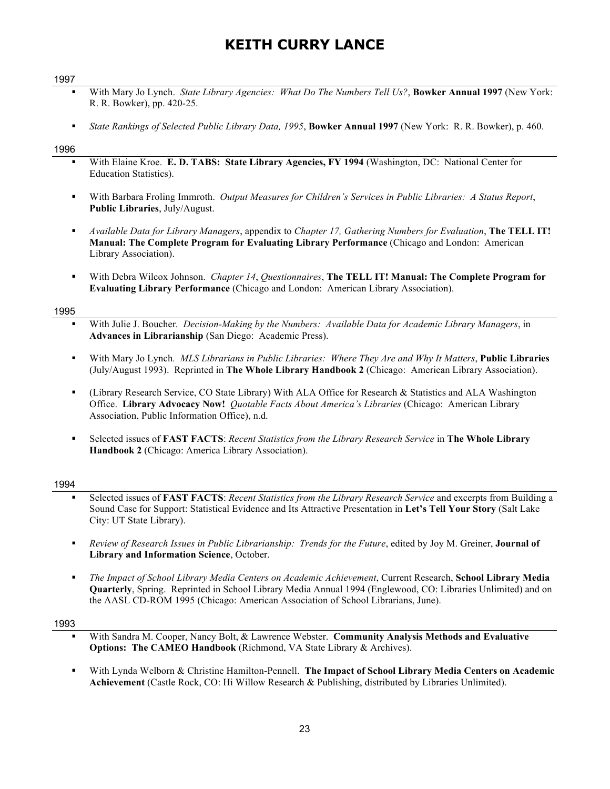#### 1997

- § With Mary Jo Lynch. *State Library Agencies: What Do The Numbers Tell Us?*, **Bowker Annual 1997** (New York: R. R. Bowker), pp. 420-25.
- § *State Rankings of Selected Public Library Data, 1995*, **Bowker Annual 1997** (New York: R. R. Bowker), p. 460.

#### 1996

- § With Elaine Kroe. **E. D. TABS: State Library Agencies, FY 1994** (Washington, DC: National Center for Education Statistics).
- § With Barbara Froling Immroth. *Output Measures for Children's Services in Public Libraries: A Status Report*, **Public Libraries**, July/August.
- § *Available Data for Library Managers*, appendix to *Chapter 17, Gathering Numbers for Evaluation*, **The TELL IT! Manual: The Complete Program for Evaluating Library Performance** (Chicago and London: American Library Association).
- § With Debra Wilcox Johnson. *Chapter 14*, *Questionnaires*, **The TELL IT! Manual: The Complete Program for Evaluating Library Performance** (Chicago and London: American Library Association).

#### 1995

- § With Julie J. Boucher*. Decision-Making by the Numbers: Available Data for Academic Library Managers*, in **Advances in Librarianship** (San Diego: Academic Press).
- § With Mary Jo Lynch*. MLS Librarians in Public Libraries: Where They Are and Why It Matters*, **Public Libraries** (July/August 1993). Reprinted in **The Whole Library Handbook 2** (Chicago: American Library Association).
- § (Library Research Service, CO State Library) With ALA Office for Research & Statistics and ALA Washington Office. **Library Advocacy Now!** *Quotable Facts About America's Libraries* (Chicago: American Library Association, Public Information Office), n.d.
- § Selected issues of **FAST FACTS**: *Recent Statistics from the Library Research Service* in **The Whole Library Handbook 2** (Chicago: America Library Association).

#### 1994

- § Selected issues of **FAST FACTS**: *Recent Statistics from the Library Research Service* and excerpts from Building a Sound Case for Support: Statistical Evidence and Its Attractive Presentation in **Let's Tell Your Story** (Salt Lake City: UT State Library).
- § *Review of Research Issues in Public Librarianship: Trends for the Future*, edited by Joy M. Greiner, **Journal of Library and Information Science**, October.
- § *The Impact of School Library Media Centers on Academic Achievement*, Current Research, **School Library Media Quarterly**, Spring. Reprinted in School Library Media Annual 1994 (Englewood, CO: Libraries Unlimited) and on the AASL CD-ROM 1995 (Chicago: American Association of School Librarians, June).

- § With Sandra M. Cooper, Nancy Bolt, & Lawrence Webster. **Community Analysis Methods and Evaluative Options: The CAMEO Handbook** (Richmond, VA State Library & Archives).
- § With Lynda Welborn & Christine Hamilton-Pennell. **The Impact of School Library Media Centers on Academic Achievement** (Castle Rock, CO: Hi Willow Research & Publishing, distributed by Libraries Unlimited).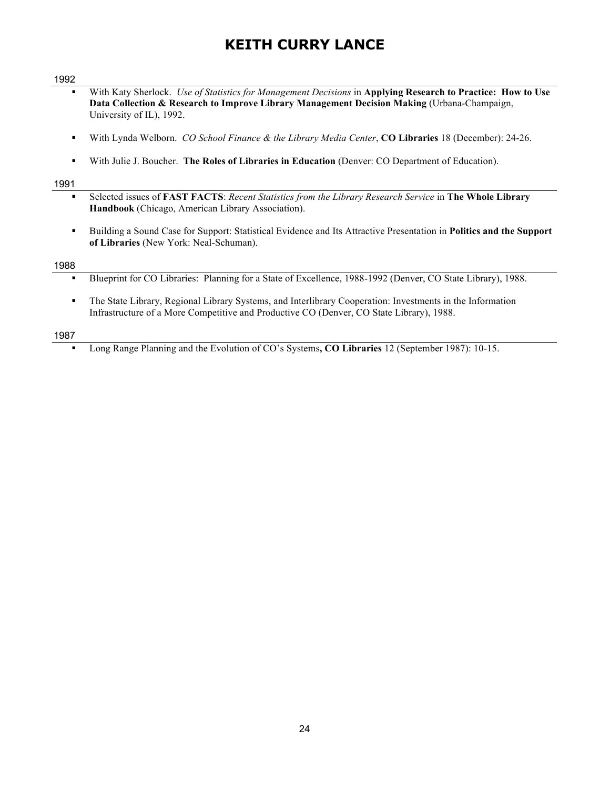#### 1992

- § With Katy Sherlock. *Use of Statistics for Management Decisions* in **Applying Research to Practice: How to Use Data Collection & Research to Improve Library Management Decision Making** (Urbana-Champaign, University of IL), 1992.
- § With Lynda Welborn. *CO School Finance & the Library Media Center*, **CO Libraries** 18 (December): 24-26.
- § With Julie J. Boucher. **The Roles of Libraries in Education** (Denver: CO Department of Education).

#### 1991

- § Selected issues of **FAST FACTS**: *Recent Statistics from the Library Research Service* in **The Whole Library Handbook** (Chicago, American Library Association).
- § Building a Sound Case for Support: Statistical Evidence and Its Attractive Presentation in **Politics and the Support of Libraries** (New York: Neal-Schuman).

#### 1988

- § Blueprint for CO Libraries: Planning for a State of Excellence, 1988-1992 (Denver, CO State Library), 1988.
- § The State Library, Regional Library Systems, and Interlibrary Cooperation: Investments in the Information Infrastructure of a More Competitive and Productive CO (Denver, CO State Library), 1988.

#### 1987

§ Long Range Planning and the Evolution of CO's Systems**, CO Libraries** 12 (September 1987): 10-15.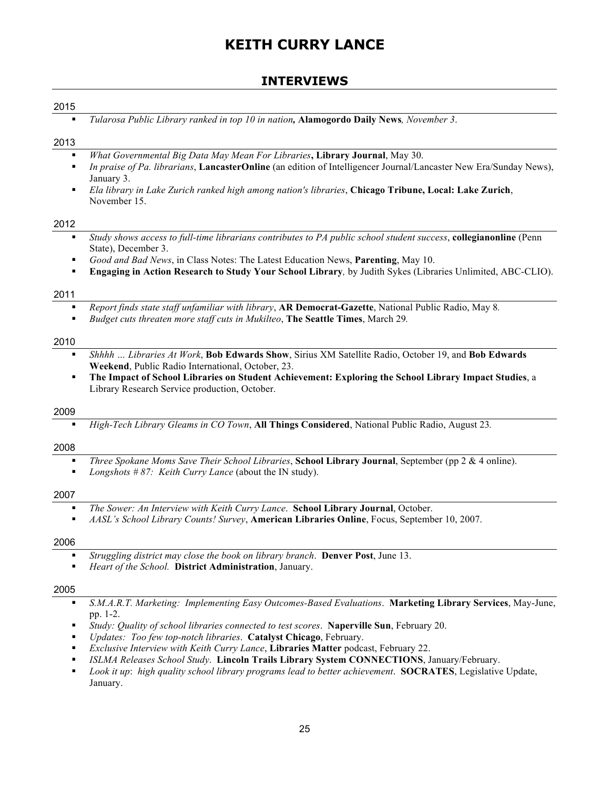## **INTERVIEWS**

## 2015

§ *Tularosa Public Library ranked in top 10 in nation,* **Alamogordo Daily News***, November 3*.

#### 2013

- § *What Governmental Big Data May Mean For Libraries***, Library Journal**, May 30.
- § *In praise of Pa. librarians*, **LancasterOnline** (an edition of Intelligencer Journal/Lancaster New Era/Sunday News), January 3.
- § *Ela library in Lake Zurich ranked high among nation's libraries*, **Chicago Tribune, Local: Lake Zurich**, November 15.

#### 2012

- § *Study shows access to full-time librarians contributes to PA public school student success*, **collegianonline** (Penn State), December 3.
- § *Good and Bad News*, in Class Notes: The Latest Education News, **Parenting**, May 10.
- § **Engaging in Action Research to Study Your School Library***,* by Judith Sykes (Libraries Unlimited, ABC-CLIO).

#### 2011

- § *Report finds state staff unfamiliar with library*, **AR Democrat-Gazette**, National Public Radio, May 8*.*
- § *Budget cuts threaten more staff cuts in Mukilteo*, **The Seattle Times**, March 29*.*

#### 2010

- § *Shhhh … Libraries At Work*, **Bob Edwards Show**, Sirius XM Satellite Radio, October 19, and **Bob Edwards Weekend**, Public Radio International, October, 23.
- § **The Impact of School Libraries on Student Achievement: Exploring the School Library Impact Studies**, a Library Research Service production, October.

#### 2009

§ *High-Tech Library Gleams in CO Town*, **All Things Considered**, National Public Radio, August 23*.*

#### 2008

- § *Three Spokane Moms Save Their School Libraries*, **School Library Journal**, September (pp 2 & 4 online).
- *Longshots # 87: Keith Curry Lance* (about the IN study).

#### 2007

- § *The Sower: An Interview with Keith Curry Lance*. **School Library Journal**, October.
- § *AASL's School Library Counts! Survey*, **American Libraries Online**, Focus, September 10, 2007.

#### 2006

- § *Struggling district may close the book on library branch*. **Denver Post**, June 13.
- § *Heart of the School.* **District Administration**, January.

- § *S.M.A.R.T. Marketing: Implementing Easy Outcomes-Based Evaluations*. **Marketing Library Services**, May-June, pp. 1-2.
- § *Study: Quality of school libraries connected to test scores*. **Naperville Sun**, February 20.
- § *Updates: Too few top-notch libraries*. **Catalyst Chicago**, February.
- § *Exclusive Interview with Keith Curry Lance*, **Libraries Matter** podcast, February 22.
- § *ISLMA Releases School Study*. **Lincoln Trails Library System CONNECTIONS**, January/February.
- § *Look it up*: *high quality school library programs lead to better achievement*. **SOCRATES**, Legislative Update, January.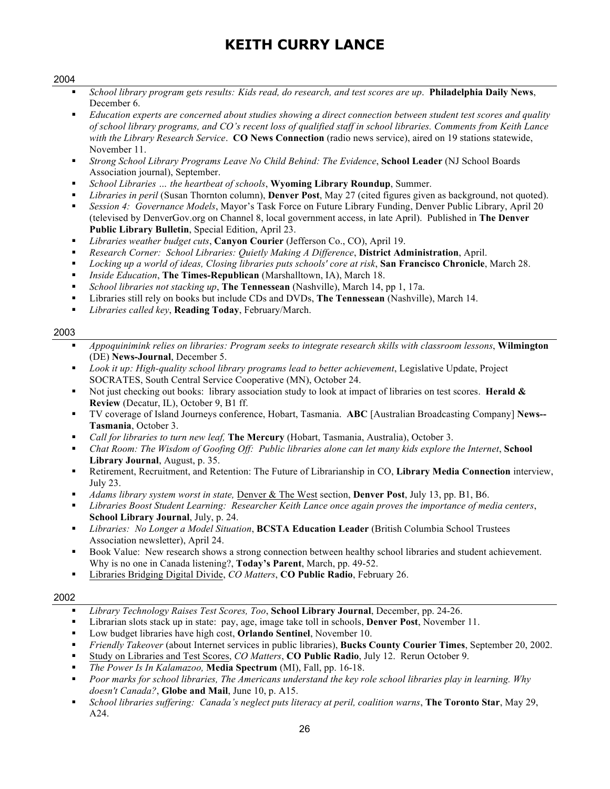#### 2004

- § *School library program gets results: Kids read, do research, and test scores are up*. **Philadelphia Daily News**, December 6.
- § *Education experts are concerned about studies showing a direct connection between student test scores and quality of school library programs, and CO's recent loss of qualified staff in school libraries. Comments from Keith Lance with the Library Research Service*. **CO News Connection** (radio news service), aired on 19 stations statewide, November 11.
- § *Strong School Library Programs Leave No Child Behind: The Evidence*, **School Leader** (NJ School Boards Association journal), September.
- § *School Libraries … the heartbeat of schools*, **Wyoming Library Roundup**, Summer.
- § *Libraries in peril* (Susan Thornton column), **Denver Post**, May 27 (cited figures given as background, not quoted).
- § *Session 4: Governance Models*, Mayor's Task Force on Future Library Funding, Denver Public Library, April 20 (televised by DenverGov.org on Channel 8, local government access, in late April). Published in **The Denver Public Library Bulletin**, Special Edition, April 23.
- § *Libraries weather budget cuts*, **Canyon Courier** (Jefferson Co., CO), April 19.
- § *Research Corner: School Libraries: Quietly Making A Difference*, **District Administration**, April.
- § *Locking up a world of ideas, Closing libraries puts schools' core at risk*, **San Francisco Chronicle**, March 28.
- § *Inside Education*, **The Times-Republican** (Marshalltown, IA), March 18.
- § *School libraries not stacking up*, **The Tennessean** (Nashville), March 14, pp 1, 17a.
- § Libraries still rely on books but include CDs and DVDs, **The Tennessean** (Nashville), March 14.
- § *Libraries called key*, **Reading Today**, February/March.

#### 2003

- § *Appoquinimink relies on libraries: Program seeks to integrate research skills with classroom lessons*, **Wilmington** (DE) **News-Journal**, December 5.
- Look it up: High-quality school library programs lead to better achievement, Legislative Update, Project SOCRATES, South Central Service Cooperative (MN), October 24.
- § Not just checking out books: library association study to look at impact of libraries on test scores. **Herald & Review** (Decatur, IL), October 9, B1 ff.
- § TV coverage of Island Journeys conference, Hobart, Tasmania. **ABC** [Australian Broadcasting Company] **News-- Tasmania**, October 3.
- § *Call for libraries to turn new leaf,* **The Mercury** (Hobart, Tasmania, Australia), October 3.
- § *Chat Room: The Wisdom of Goofing Off: Public libraries alone can let many kids explore the Internet*, **School Library Journal**, August, p. 35.
- § Retirement, Recruitment, and Retention: The Future of Librarianship in CO, **Library Media Connection** interview, July 23.
- § *Adams library system worst in state,* Denver & The West section, **Denver Post**, July 13, pp. B1, B6.
- § *Libraries Boost Student Learning: Researcher Keith Lance once again proves the importance of media centers*, **School Library Journal**, July, p. 24.
- § *Libraries: No Longer a Model Situation*, **BCSTA Education Leader** (British Columbia School Trustees Association newsletter), April 24.
- § Book Value: New research shows a strong connection between healthy school libraries and student achievement. Why is no one in Canada listening?, **Today's Parent**, March, pp. 49-52.
- § Libraries Bridging Digital Divide, *CO Matters*, **CO Public Radio**, February 26.

- § *Library Technology Raises Test Scores, Too*, **School Library Journal**, December, pp. 24-26.
- § Librarian slots stack up in state: pay, age, image take toll in schools, **Denver Post**, November 11.
- § Low budget libraries have high cost, **Orlando Sentinel**, November 10.
- § *Friendly Takeover* (about Internet services in public libraries), **Bucks County Courier Times**, September 20, 2002.
- § Study on Libraries and Test Scores, *CO Matters*, **CO Public Radio**, July 12. Rerun October 9.
- § *The Power Is In Kalamazoo,* **Media Spectrum** (MI), Fall, pp. 16-18.
- § *Poor marks for school libraries, The Americans understand the key role school libraries play in learning. Why doesn't Canada?*, **Globe and Mail**, June 10, p. A15.
- § *School libraries suffering: Canada's neglect puts literacy at peril, coalition warns*, **The Toronto Star**, May 29, A24.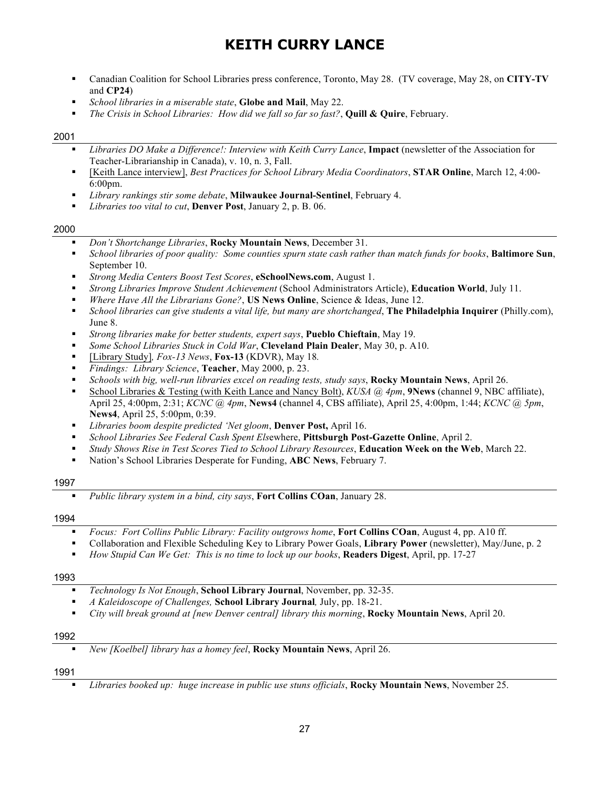- § Canadian Coalition for School Libraries press conference, Toronto, May 28. (TV coverage, May 28, on **CITY-TV** and **CP24**)
- § *School libraries in a miserable state*, **Globe and Mail**, May 22.
- § *The Crisis in School Libraries: How did we fall so far so fast?*, **Quill & Quire**, February.

#### 2001

- § *Libraries DO Make a Difference!: Interview with Keith Curry Lance*, **Impact** (newsletter of the Association for Teacher-Librarianship in Canada), v. 10, n. 3, Fall.
- § [Keith Lance interview], *Best Practices for School Library Media Coordinators*, **STAR Online**, March 12, 4:00-  $6:00$ pm.
- § *Library rankings stir some debate*, **Milwaukee Journal-Sentinel**, February 4.
- § *Libraries too vital to cut*, **Denver Post**, January 2, p. B. 06.

#### 2000

- § *Don't Shortchange Libraries*, **Rocky Mountain News**, December 31.
- § *School libraries of poor quality: Some counties spurn state cash rather than match funds for books*, **Baltimore Sun**, September 10.
- § *Strong Media Centers Boost Test Scores*, **eSchoolNews.com**, August 1.
- § *Strong Libraries Improve Student Achievement* (School Administrators Article), **Education World**, July 11.
- § *Where Have All the Librarians Gone?*, **US News Online**, Science & Ideas, June 12.
- § *School libraries can give students a vital life, but many are shortchanged*, **The Philadelphia Inquirer** (Philly.com), June 8.
- § *Strong libraries make for better students, expert says*, **Pueblo Chieftain**, May 19.
- § *Some School Libraries Stuck in Cold War*, **Cleveland Plain Dealer**, May 30, p. A10.
- § [Library Study]*, Fox-13 News*, **Fox-13** (KDVR), May 18*.*
- § *Findings: Library Science*, **Teacher**, May 2000, p. 23.
- § *Schools with big, well-run libraries excel on reading tests, study says*, **Rocky Mountain News**, April 26.
- § School Libraries & Testing (with Keith Lance and Nancy Bolt), *KUSA @ 4pm*, **9News** (channel 9, NBC affiliate), April 25, 4:00pm, 2:31; *KCNC @ 4pm*, **News4** (channel 4, CBS affiliate), April 25, 4:00pm, 1:44; *KCNC @ 5pm*, **News4**, April 25, 5:00pm, 0:39.
- § *Libraries boom despite predicted 'Net gloom*, **Denver Post,** April 16.
- § *School Libraries See Federal Cash Spent Els*ewhere, **Pittsburgh Post-Gazette Online**, April 2.
- § *Study Shows Rise in Test Scores Tied to School Library Resources*, **Education Week on the Web**, March 22.
- § Nation's School Libraries Desperate for Funding, **ABC News**, February 7.

#### 1997

§ *Public library system in a bind, city says*, **Fort Collins COan**, January 28.

#### 1994

- § *Focus: Fort Collins Public Library: Facility outgrows home*, **Fort Collins COan**, August 4, pp. A10 ff.
- § Collaboration and Flexible Scheduling Key to Library Power Goals, **Library Power** (newsletter), May/June, p. 2
- § *How Stupid Can We Get: This is no time to lock up our books*, **Readers Digest**, April, pp. 17-27

#### 1993

- *Technology Is Not Enough*, **School Library Journal**, November, pp. 32-35.
- § *A Kaleidoscope of Challenges,* **School Library Journal***,* July, pp. 18-21.
- § *City will break ground at [new Denver central] library this morning*, **Rocky Mountain News**, April 20.

#### 1992

§ *New [Koelbel] library has a homey feel*, **Rocky Mountain News**, April 26.

#### 1991

§ *Libraries booked up: huge increase in public use stuns officials*, **Rocky Mountain News**, November 25.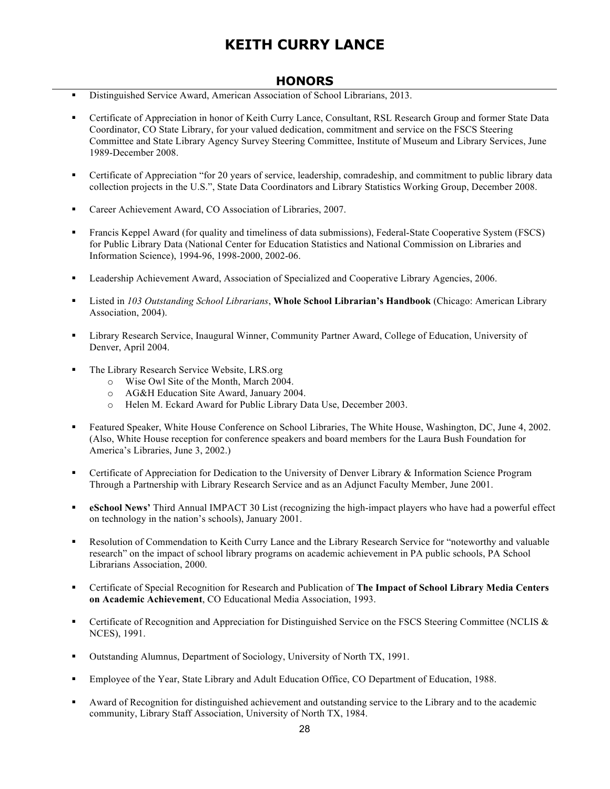## **HONORS**

- § Distinguished Service Award, American Association of School Librarians, 2013.
- § Certificate of Appreciation in honor of Keith Curry Lance, Consultant, RSL Research Group and former State Data Coordinator, CO State Library, for your valued dedication, commitment and service on the FSCS Steering Committee and State Library Agency Survey Steering Committee, Institute of Museum and Library Services, June 1989-December 2008.
- Certificate of Appreciation "for 20 years of service, leadership, comradeship, and commitment to public library data collection projects in the U.S.", State Data Coordinators and Library Statistics Working Group, December 2008.
- Career Achievement Award, CO Association of Libraries, 2007.
- Francis Keppel Award (for quality and timeliness of data submissions), Federal-State Cooperative System (FSCS) for Public Library Data (National Center for Education Statistics and National Commission on Libraries and Information Science), 1994-96, 1998-2000, 2002-06.
- Leadership Achievement Award, Association of Specialized and Cooperative Library Agencies, 2006.
- § Listed in *103 Outstanding School Librarians*, **Whole School Librarian's Handbook** (Chicago: American Library Association, 2004).
- § Library Research Service, Inaugural Winner, Community Partner Award, College of Education, University of Denver, April 2004.
- The Library Research Service Website, LRS.org
	- o Wise Owl Site of the Month, March 2004.
	- o AG&H Education Site Award, January 2004.
	- o Helen M. Eckard Award for Public Library Data Use, December 2003.
- § Featured Speaker, White House Conference on School Libraries, The White House, Washington, DC, June 4, 2002. (Also, White House reception for conference speakers and board members for the Laura Bush Foundation for America's Libraries, June 3, 2002.)
- § Certificate of Appreciation for Dedication to the University of Denver Library & Information Science Program Through a Partnership with Library Research Service and as an Adjunct Faculty Member, June 2001.
- **eSchool News'** Third Annual IMPACT 30 List (recognizing the high-impact players who have had a powerful effect on technology in the nation's schools), January 2001.
- Resolution of Commendation to Keith Curry Lance and the Library Research Service for "noteworthy and valuable research" on the impact of school library programs on academic achievement in PA public schools, PA School Librarians Association, 2000.
- § Certificate of Special Recognition for Research and Publication of **The Impact of School Library Media Centers on Academic Achievement**, CO Educational Media Association, 1993.
- Certificate of Recognition and Appreciation for Distinguished Service on the FSCS Steering Committee (NCLIS & NCES), 1991.
- Outstanding Alumnus, Department of Sociology, University of North TX, 1991.
- § Employee of the Year, State Library and Adult Education Office, CO Department of Education, 1988.
- Award of Recognition for distinguished achievement and outstanding service to the Library and to the academic community, Library Staff Association, University of North TX, 1984.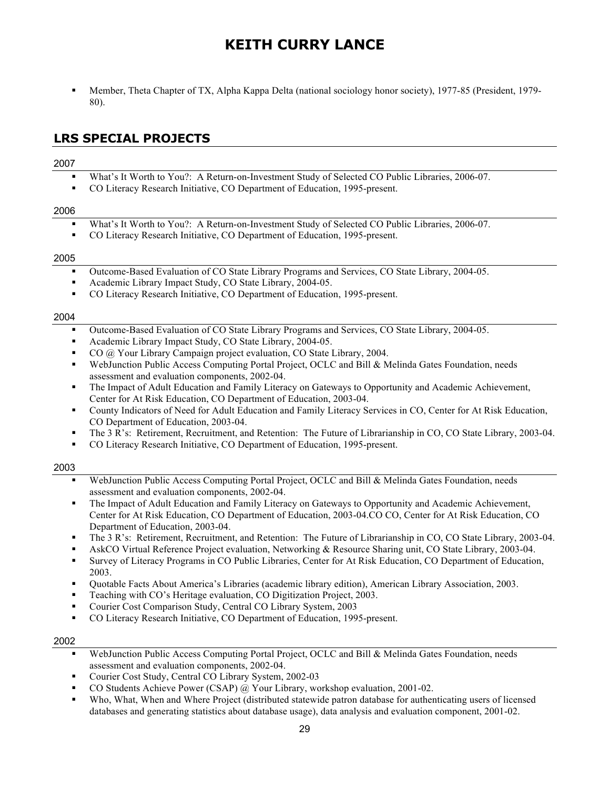§ Member, Theta Chapter of TX, Alpha Kappa Delta (national sociology honor society), 1977-85 (President, 1979- 80).

## **LRS SPECIAL PROJECTS**

#### 2007

- § What's It Worth to You?: A Return-on-Investment Study of Selected CO Public Libraries, 2006-07.
- § CO Literacy Research Initiative, CO Department of Education, 1995-present.

#### 2006

- § What's It Worth to You?: A Return-on-Investment Study of Selected CO Public Libraries, 2006-07.
- CO Literacy Research Initiative, CO Department of Education, 1995-present.

#### 2005

- § Outcome-Based Evaluation of CO State Library Programs and Services, CO State Library, 2004-05.
- Academic Library Impact Study, CO State Library, 2004-05.
- § CO Literacy Research Initiative, CO Department of Education, 1995-present.

#### 2004

- § Outcome-Based Evaluation of CO State Library Programs and Services, CO State Library, 2004-05.
- § Academic Library Impact Study, CO State Library, 2004-05.
- § CO @ Your Library Campaign project evaluation, CO State Library, 2004.
- WebJunction Public Access Computing Portal Project, OCLC and Bill & Melinda Gates Foundation, needs assessment and evaluation components, 2002-04.
- The Impact of Adult Education and Family Literacy on Gateways to Opportunity and Academic Achievement, Center for At Risk Education, CO Department of Education, 2003-04.
- § County Indicators of Need for Adult Education and Family Literacy Services in CO, Center for At Risk Education, CO Department of Education, 2003-04.
- § The 3 R's: Retirement, Recruitment, and Retention: The Future of Librarianship in CO, CO State Library, 2003-04.
- § CO Literacy Research Initiative, CO Department of Education, 1995-present.

#### 2003

- WebJunction Public Access Computing Portal Project, OCLC and Bill & Melinda Gates Foundation, needs assessment and evaluation components, 2002-04.
- The Impact of Adult Education and Family Literacy on Gateways to Opportunity and Academic Achievement, Center for At Risk Education, CO Department of Education, 2003-04.CO CO, Center for At Risk Education, CO Department of Education, 2003-04.
- § The 3 R's: Retirement, Recruitment, and Retention: The Future of Librarianship in CO, CO State Library, 2003-04.
- § AskCO Virtual Reference Project evaluation, Networking & Resource Sharing unit, CO State Library, 2003-04.
- § Survey of Literacy Programs in CO Public Libraries, Center for At Risk Education, CO Department of Education, 2003.
- § Quotable Facts About America's Libraries (academic library edition), American Library Association, 2003.
- § Teaching with CO's Heritage evaluation, CO Digitization Project, 2003.
- § Courier Cost Comparison Study, Central CO Library System, 2003
- § CO Literacy Research Initiative, CO Department of Education, 1995-present.

- WebJunction Public Access Computing Portal Project, OCLC and Bill & Melinda Gates Foundation, needs assessment and evaluation components, 2002-04.
- § Courier Cost Study, Central CO Library System, 2002-03
- § CO Students Achieve Power (CSAP) @ Your Library, workshop evaluation, 2001-02.
- Who, What, When and Where Project (distributed statewide patron database for authenticating users of licensed databases and generating statistics about database usage), data analysis and evaluation component, 2001-02.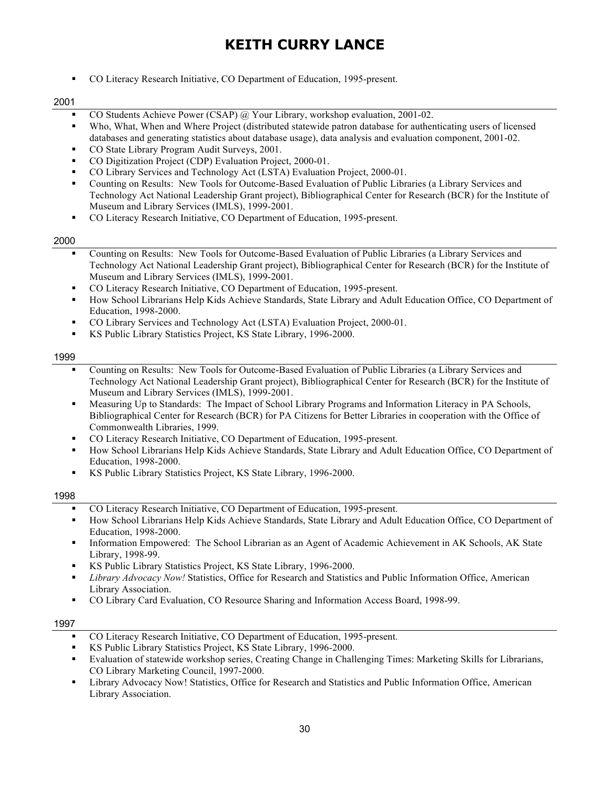§ CO Literacy Research Initiative, CO Department of Education, 1995-present.

#### 2001

- § CO Students Achieve Power (CSAP) @ Your Library, workshop evaluation, 2001-02.
- Who, What, When and Where Project (distributed statewide patron database for authenticating users of licensed databases and generating statistics about database usage), data analysis and evaluation component, 2001-02.
- § CO State Library Program Audit Surveys, 2001.
- § CO Digitization Project (CDP) Evaluation Project, 2000-01.
- § CO Library Services and Technology Act (LSTA) Evaluation Project, 2000-01.
- § Counting on Results: New Tools for Outcome-Based Evaluation of Public Libraries (a Library Services and Technology Act National Leadership Grant project), Bibliographical Center for Research (BCR) for the Institute of Museum and Library Services (IMLS), 1999-2001.
- § CO Literacy Research Initiative, CO Department of Education, 1995-present.

#### 2000

- § Counting on Results: New Tools for Outcome-Based Evaluation of Public Libraries (a Library Services and Technology Act National Leadership Grant project), Bibliographical Center for Research (BCR) for the Institute of Museum and Library Services (IMLS), 1999-2001.
- § CO Literacy Research Initiative, CO Department of Education, 1995-present.
- § How School Librarians Help Kids Achieve Standards, State Library and Adult Education Office, CO Department of Education, 1998-2000.
- § CO Library Services and Technology Act (LSTA) Evaluation Project, 2000-01.
- § KS Public Library Statistics Project, KS State Library, 1996-2000.

#### 1999

- Counting on Results: New Tools for Outcome-Based Evaluation of Public Libraries (a Library Services and Technology Act National Leadership Grant project), Bibliographical Center for Research (BCR) for the Institute of Museum and Library Services (IMLS), 1999-2001.
- § Measuring Up to Standards: The Impact of School Library Programs and Information Literacy in PA Schools, Bibliographical Center for Research (BCR) for PA Citizens for Better Libraries in cooperation with the Office of Commonwealth Libraries, 1999.
- CO Literacy Research Initiative, CO Department of Education, 1995-present.
- § How School Librarians Help Kids Achieve Standards, State Library and Adult Education Office, CO Department of Education, 1998-2000.
- KS Public Library Statistics Project, KS State Library, 1996-2000.

#### 1998

- § CO Literacy Research Initiative, CO Department of Education, 1995-present.
- § How School Librarians Help Kids Achieve Standards, State Library and Adult Education Office, CO Department of Education, 1998-2000.
- § Information Empowered: The School Librarian as an Agent of Academic Achievement in AK Schools, AK State Library, 1998-99.
- § KS Public Library Statistics Project, KS State Library, 1996-2000.
- § *Library Advocacy Now!* Statistics, Office for Research and Statistics and Public Information Office, American Library Association.
- § CO Library Card Evaluation, CO Resource Sharing and Information Access Board, 1998-99.

- § CO Literacy Research Initiative, CO Department of Education, 1995-present.
- § KS Public Library Statistics Project, KS State Library, 1996-2000.
- Evaluation of statewide workshop series, Creating Change in Challenging Times: Marketing Skills for Librarians, CO Library Marketing Council, 1997-2000.
- § Library Advocacy Now! Statistics, Office for Research and Statistics and Public Information Office, American Library Association.